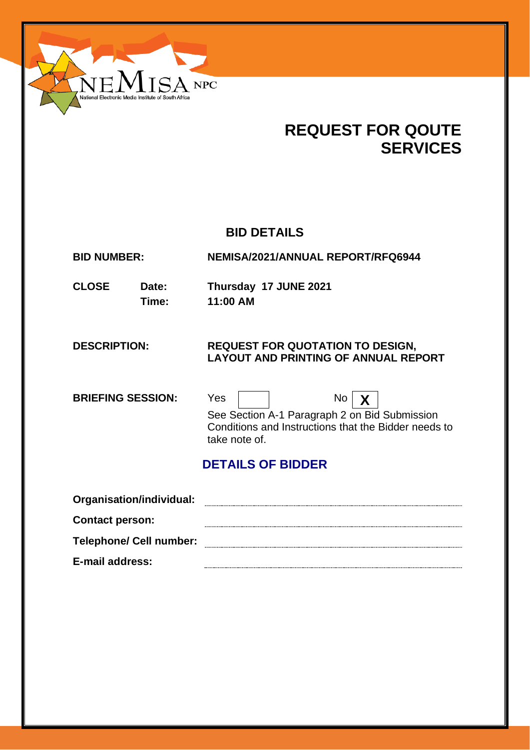

# **REQUEST FOR QOUTE SERVICES**

# **BID DETAILS**

**BID NUMBER: NEMISA/2021/ANNUAL REPORT/RFQ6944**

**CLOSE Date: Thursday 17 JUNE 2021 Time: 11:00 AM**

### **DESCRIPTION: REQUEST FOR QUOTATION TO DESIGN, LAYOUT AND PRINTING OF ANNUAL REPORT**

**BRIEFING SESSION:** Yes | | No | **X** 



See Section A-1 Paragraph 2 on Bid Submission Conditions and Instructions that the Bidder needs to take note of.

# **DETAILS OF BIDDER**

| Organisation/individual:       |  |
|--------------------------------|--|
| <b>Contact person:</b>         |  |
| <b>Telephone/ Cell number:</b> |  |
| E-mail address:                |  |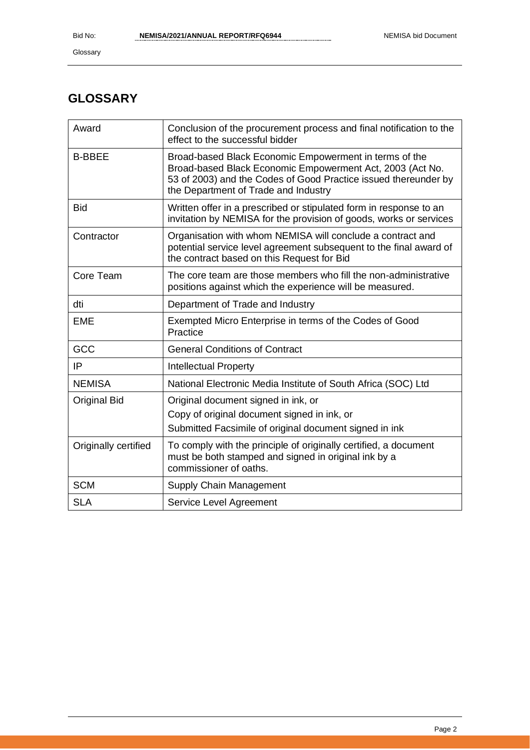# **GLOSSARY**

| Award                | Conclusion of the procurement process and final notification to the<br>effect to the successful bidder                                                                                                                         |
|----------------------|--------------------------------------------------------------------------------------------------------------------------------------------------------------------------------------------------------------------------------|
| <b>B-BBEE</b>        | Broad-based Black Economic Empowerment in terms of the<br>Broad-based Black Economic Empowerment Act, 2003 (Act No.<br>53 of 2003) and the Codes of Good Practice issued thereunder by<br>the Department of Trade and Industry |
| <b>Bid</b>           | Written offer in a prescribed or stipulated form in response to an<br>invitation by NEMISA for the provision of goods, works or services                                                                                       |
| Contractor           | Organisation with whom NEMISA will conclude a contract and<br>potential service level agreement subsequent to the final award of<br>the contract based on this Request for Bid                                                 |
| Core Team            | The core team are those members who fill the non-administrative<br>positions against which the experience will be measured.                                                                                                    |
| dti                  | Department of Trade and Industry                                                                                                                                                                                               |
| <b>EME</b>           | Exempted Micro Enterprise in terms of the Codes of Good<br>Practice                                                                                                                                                            |
| GCC                  | <b>General Conditions of Contract</b>                                                                                                                                                                                          |
| IP                   | <b>Intellectual Property</b>                                                                                                                                                                                                   |
| <b>NEMISA</b>        | National Electronic Media Institute of South Africa (SOC) Ltd                                                                                                                                                                  |
| <b>Original Bid</b>  | Original document signed in ink, or                                                                                                                                                                                            |
|                      | Copy of original document signed in ink, or                                                                                                                                                                                    |
|                      | Submitted Facsimile of original document signed in ink                                                                                                                                                                         |
| Originally certified | To comply with the principle of originally certified, a document<br>must be both stamped and signed in original ink by a<br>commissioner of oaths.                                                                             |
| <b>SCM</b>           | Supply Chain Management                                                                                                                                                                                                        |
| <b>SLA</b>           | Service Level Agreement                                                                                                                                                                                                        |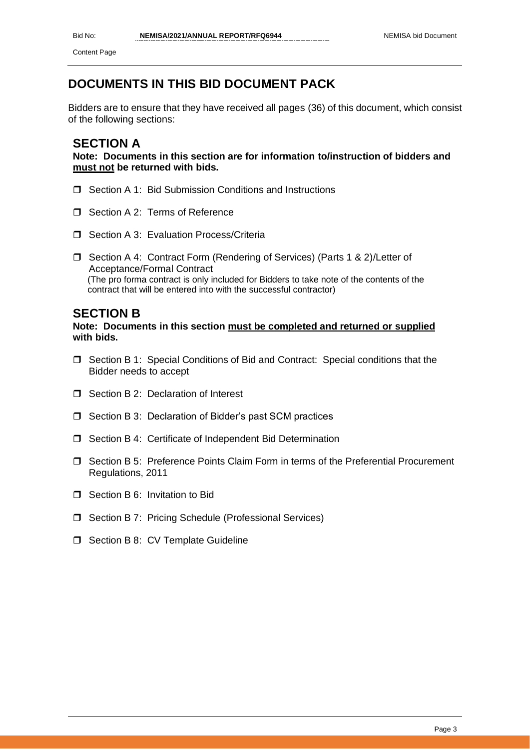# **DOCUMENTS IN THIS BID DOCUMENT PACK**

Bidders are to ensure that they have received all pages (36) of this document, which consist of the following sections:

### **SECTION A**

**Note: Documents in this section are for information to/instruction of bidders and must not be returned with bids.**

- □ Section A 1: Bid Submission Conditions and Instructions
- □ Section A 2: Terms of Reference
- **O** Section A 3: Evaluation Process/Criteria
- □ Section A 4: Contract Form (Rendering of Services) (Parts 1 & 2)/Letter of Acceptance/Formal Contract (The pro forma contract is only included for Bidders to take note of the contents of the contract that will be entered into with the successful contractor)

### **SECTION B**

### **Note: Documents in this section must be completed and returned or supplied with bids.**

- □ Section B 1: Special Conditions of Bid and Contract: Special conditions that the Bidder needs to accept
- $\Box$  Section B 2: Declaration of Interest
- $\Box$  Section B 3: Declaration of Bidder's past SCM practices
- □ Section B 4: Certificate of Independent Bid Determination
- □ Section B 5: Preference Points Claim Form in terms of the Preferential Procurement Regulations, 2011
- **T** Section B 6: Invitation to Bid
- □ Section B 7: Pricing Schedule (Professional Services)
- $\Box$  Section B 8: CV Template Guideline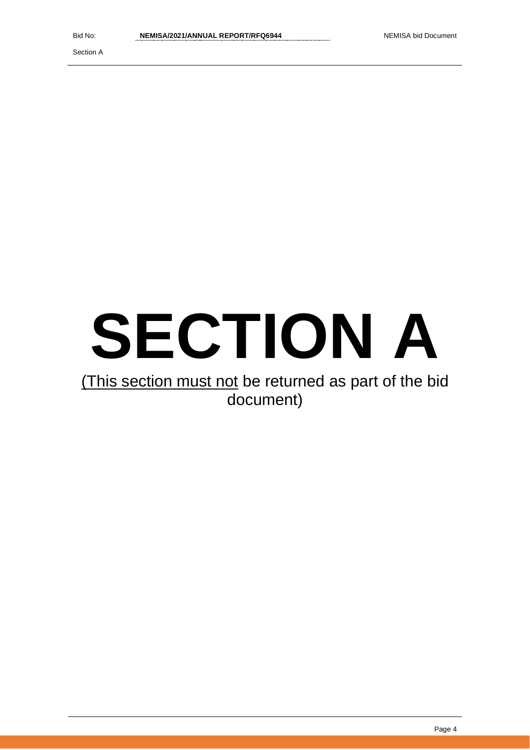Section A

# **SECTION A**

# (This section must not be returned as part of the bid document)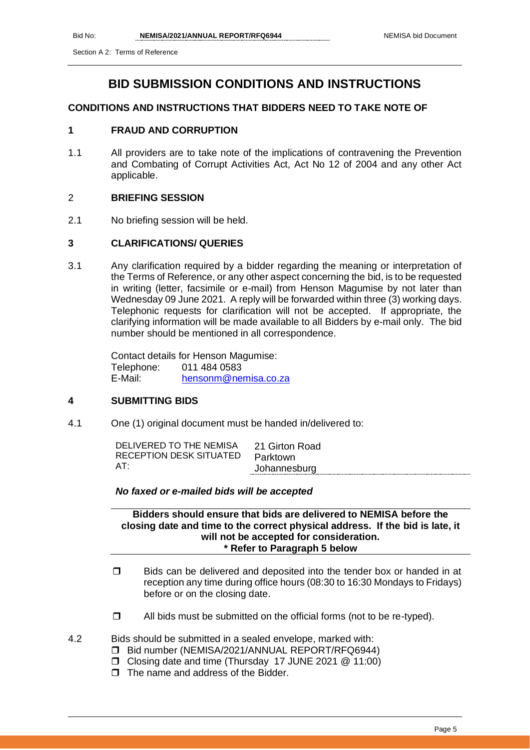# **BID SUBMISSION CONDITIONS AND INSTRUCTIONS**

### **CONDITIONS AND INSTRUCTIONS THAT BIDDERS NEED TO TAKE NOTE OF**

### **1 FRAUD AND CORRUPTION**

1.1 All providers are to take note of the implications of contravening the Prevention and Combating of Corrupt Activities Act, Act No 12 of 2004 and any other Act applicable.

### 2 **BRIEFING SESSION**

2.1 No briefing session will be held.

### **3 CLARIFICATIONS/ QUERIES**

3.1 Any clarification required by a bidder regarding the meaning or interpretation of the Terms of Reference, or any other aspect concerning the bid, is to be requested in writing (letter, facsimile or e-mail) from Henson Magumise by not later than Wednesday 09 June 2021. A reply will be forwarded within three (3) working days. Telephonic requests for clarification will not be accepted. If appropriate, the clarifying information will be made available to all Bidders by e-mail only. The bid number should be mentioned in all correspondence.

> Contact details for Henson Magumise: Telephone: 011 484 0583 E-Mail: [hensonm@nemisa.co.za](mailto:hensonm@nemisa.co.za)

### **4 SUBMITTING BIDS**

4.1 One (1) original document must be handed in/delivered to:

| AT:          | DELIVERED TO THE NEMISA | 21 Girton Road |
|--------------|-------------------------|----------------|
| Johannesburg | RECEPTION DESK SITUATED | Parktown       |

### *No faxed or e-mailed bids will be accepted*

**Bidders should ensure that bids are delivered to NEMISA before the closing date and time to the correct physical address. If the bid is late, it will not be accepted for consideration. \* Refer to Paragraph 5 below**

- $\square$  Bids can be delivered and deposited into the tender box or handed in at reception any time during office hours (08:30 to 16:30 Mondays to Fridays) before or on the closing date.
- $\Box$  All bids must be submitted on the official forms (not to be re-typed).

4.2 Bids should be submitted in a sealed envelope, marked with:

- □ Bid number (NEMISA/2021/ANNUAL REPORT/RFQ6944)
- Closing date and time (Thursday 17 JUNE 2021 @ 11:00)
- $\Box$  The name and address of the Bidder.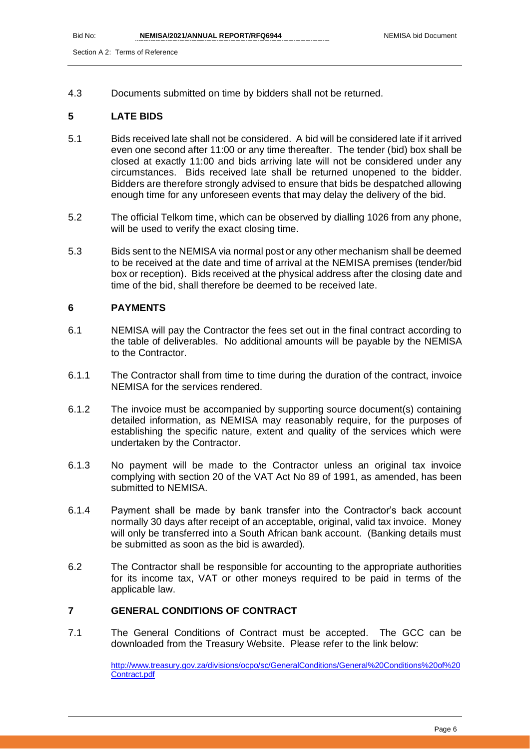4.3 Documents submitted on time by bidders shall not be returned.

### **5 LATE BIDS**

- 5.1 Bids received late shall not be considered. A bid will be considered late if it arrived even one second after 11:00 or any time thereafter. The tender (bid) box shall be closed at exactly 11:00 and bids arriving late will not be considered under any circumstances. Bids received late shall be returned unopened to the bidder. Bidders are therefore strongly advised to ensure that bids be despatched allowing enough time for any unforeseen events that may delay the delivery of the bid.
- 5.2 The official Telkom time, which can be observed by dialling 1026 from any phone, will be used to verify the exact closing time.
- 5.3 Bids sent to the NEMISA via normal post or any other mechanism shall be deemed to be received at the date and time of arrival at the NEMISA premises (tender/bid box or reception). Bids received at the physical address after the closing date and time of the bid, shall therefore be deemed to be received late.

### **6 PAYMENTS**

- 6.1 NEMISA will pay the Contractor the fees set out in the final contract according to the table of deliverables. No additional amounts will be payable by the NEMISA to the Contractor.
- 6.1.1 The Contractor shall from time to time during the duration of the contract, invoice NEMISA for the services rendered.
- 6.1.2 The invoice must be accompanied by supporting source document(s) containing detailed information, as NEMISA may reasonably require, for the purposes of establishing the specific nature, extent and quality of the services which were undertaken by the Contractor.
- 6.1.3 No payment will be made to the Contractor unless an original tax invoice complying with section 20 of the VAT Act No 89 of 1991, as amended, has been submitted to NEMISA.
- 6.1.4 Payment shall be made by bank transfer into the Contractor's back account normally 30 days after receipt of an acceptable, original, valid tax invoice. Money will only be transferred into a South African bank account. (Banking details must be submitted as soon as the bid is awarded).
- 6.2 The Contractor shall be responsible for accounting to the appropriate authorities for its income tax, VAT or other moneys required to be paid in terms of the applicable law.

### **7 GENERAL CONDITIONS OF CONTRACT**

7.1 The General Conditions of Contract must be accepted. The GCC can be downloaded from the Treasury Website. Please refer to the link below:

> [http://www.treasury.gov.za/divisions/ocpo/sc/GeneralConditions/General%20Conditions%20of%20](http://www.treasury.gov.za/divisions/ocpo/sc/GeneralConditions/General%20Conditions%20of%20Contract.pdf) [Contract.pdf](http://www.treasury.gov.za/divisions/ocpo/sc/GeneralConditions/General%20Conditions%20of%20Contract.pdf)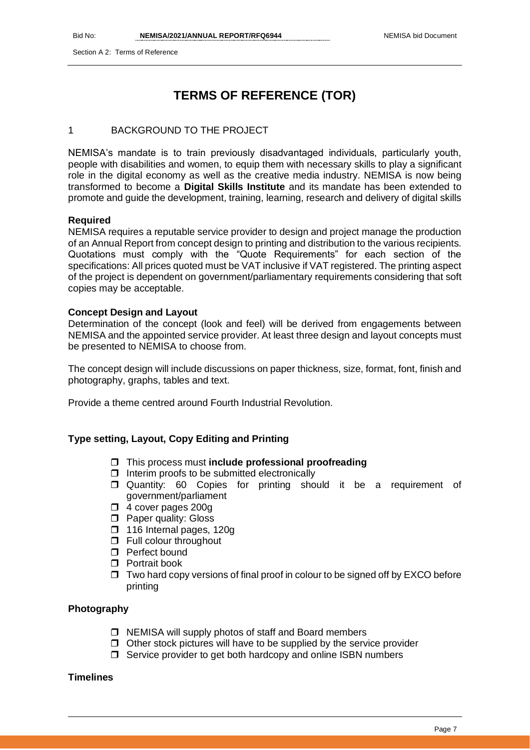Section A 2: Terms of Reference

# **TERMS OF REFERENCE (TOR)**

### 1 BACKGROUND TO THE PROJECT

NEMISA's mandate is to train previously disadvantaged individuals, particularly youth, people with disabilities and women, to equip them with necessary skills to play a significant role in the digital economy as well as the creative media industry. NEMISA is now being transformed to become a **Digital Skills Institute** and its mandate has been extended to promote and guide the development, training, learning, research and delivery of digital skills

### **Required**

NEMISA requires a reputable service provider to design and project manage the production of an Annual Report from concept design to printing and distribution to the various recipients. Quotations must comply with the "Quote Requirements" for each section of the specifications: All prices quoted must be VAT inclusive if VAT registered. The printing aspect of the project is dependent on government/parliamentary requirements considering that soft copies may be acceptable.

### **Concept Design and Layout**

Determination of the concept (look and feel) will be derived from engagements between NEMISA and the appointed service provider. At least three design and layout concepts must be presented to NEMISA to choose from.

The concept design will include discussions on paper thickness, size, format, font, finish and photography, graphs, tables and text.

Provide a theme centred around Fourth Industrial Revolution.

### **Type setting, Layout, Copy Editing and Printing**

- This process must **include professional proofreading**
- $\Box$  Interim proofs to be submitted electronically
- Quantity: 60 Copies for printing should it be a requirement of government/parliament
- 4 cover pages 200g
- **D** Paper quality: Gloss
- 116 Internal pages, 120g
- $\Box$  Full colour throughout
- **Perfect bound**
- **n** Portrait book
- $\Box$  Two hard copy versions of final proof in colour to be signed off by EXCO before printing

### **Photography**

- $\Box$  NEMISA will supply photos of staff and Board members
- $\Box$  Other stock pictures will have to be supplied by the service provider
- $\Box$  Service provider to get both hardcopy and online ISBN numbers

### **Timelines**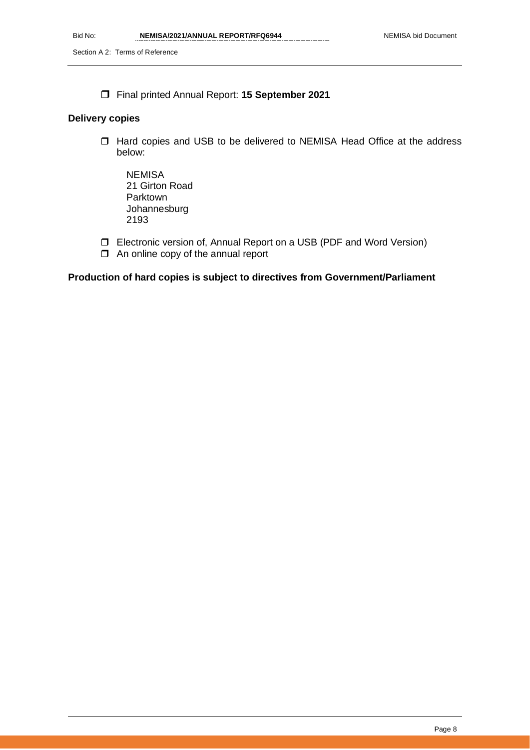Final printed Annual Report: **15 September 2021** 

### **Delivery copies**

- □ Hard copies and USB to be delivered to NEMISA Head Office at the address below:
	- **NEMISA** 21 Girton Road Parktown Johannesburg 2193
- Electronic version of, Annual Report on a USB (PDF and Word Version)
- $\Box$  An online copy of the annual report

### **Production of hard copies is subject to directives from Government/Parliament**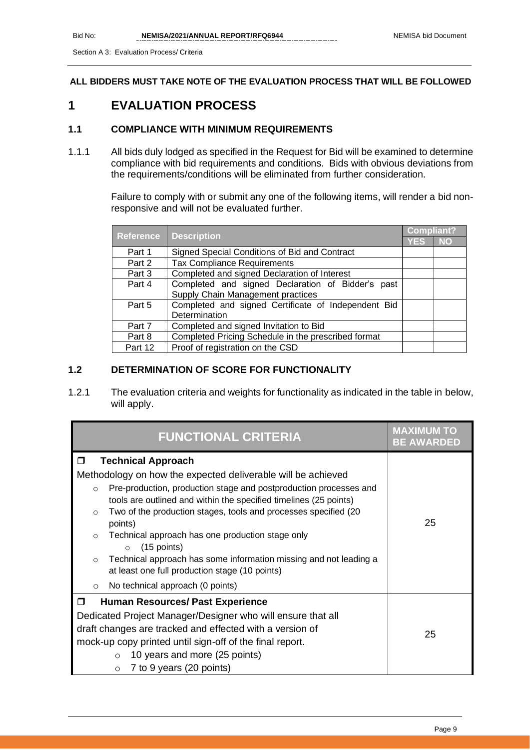### **ALL BIDDERS MUST TAKE NOTE OF THE EVALUATION PROCESS THAT WILL BE FOLLOWED**

## **1 EVALUATION PROCESS**

### **1.1 COMPLIANCE WITH MINIMUM REQUIREMENTS**

1.1.1 All bids duly lodged as specified in the Request for Bid will be examined to determine compliance with bid requirements and conditions. Bids with obvious deviations from the requirements/conditions will be eliminated from further consideration.

> Failure to comply with or submit any one of the following items, will render a bid nonresponsive and will not be evaluated further.

|                  |                                                     | <b>Compliant?</b> |           |
|------------------|-----------------------------------------------------|-------------------|-----------|
| <b>Reference</b> | <b>Description</b>                                  | YES               | <b>NO</b> |
| Part 1           | Signed Special Conditions of Bid and Contract       |                   |           |
| Part 2           | <b>Tax Compliance Requirements</b>                  |                   |           |
| Part 3           | Completed and signed Declaration of Interest        |                   |           |
| Part 4           | Completed and signed Declaration of Bidder's past   |                   |           |
|                  | Supply Chain Management practices                   |                   |           |
| Part 5           | Completed and signed Certificate of Independent Bid |                   |           |
|                  | Determination                                       |                   |           |
| Part 7           | Completed and signed Invitation to Bid              |                   |           |
| Part 8           | Completed Pricing Schedule in the prescribed format |                   |           |
| Part 12          | Proof of registration on the CSD                    |                   |           |

### **1.2 DETERMINATION OF SCORE FOR FUNCTIONALITY**

1.2.1 The evaluation criteria and weights for functionality as indicated in the table in below, will apply.

| <b>FUNCTIONAL CRITERIA</b>                                                                                                                        | <b>MAXIMUM TO</b><br><b>BE AWARDED</b> |  |
|---------------------------------------------------------------------------------------------------------------------------------------------------|----------------------------------------|--|
| <b>Technical Approach</b><br>$\Box$                                                                                                               |                                        |  |
| Methodology on how the expected deliverable will be achieved                                                                                      |                                        |  |
| Pre-production, production stage and postproduction processes and<br>$\circ$<br>tools are outlined and within the specified timelines (25 points) |                                        |  |
| Two of the production stages, tools and processes specified (20)<br>$\circ$<br>points)                                                            | 25                                     |  |
| Technical approach has one production stage only<br>$\circ$<br>$(15$ points)<br>$\circ$                                                           |                                        |  |
| Technical approach has some information missing and not leading a<br>$\circ$<br>at least one full production stage (10 points)                    |                                        |  |
| No technical approach (0 points)<br>$\circ$                                                                                                       |                                        |  |
| $\Box$<br><b>Human Resources/ Past Experience</b>                                                                                                 |                                        |  |
| Dedicated Project Manager/Designer who will ensure that all                                                                                       |                                        |  |
| draft changes are tracked and effected with a version of<br>25                                                                                    |                                        |  |
| mock-up copy printed until sign-off of the final report.                                                                                          |                                        |  |
| 10 years and more (25 points)<br>$\circ$                                                                                                          |                                        |  |
| 7 to 9 years (20 points)<br>$\circ$                                                                                                               |                                        |  |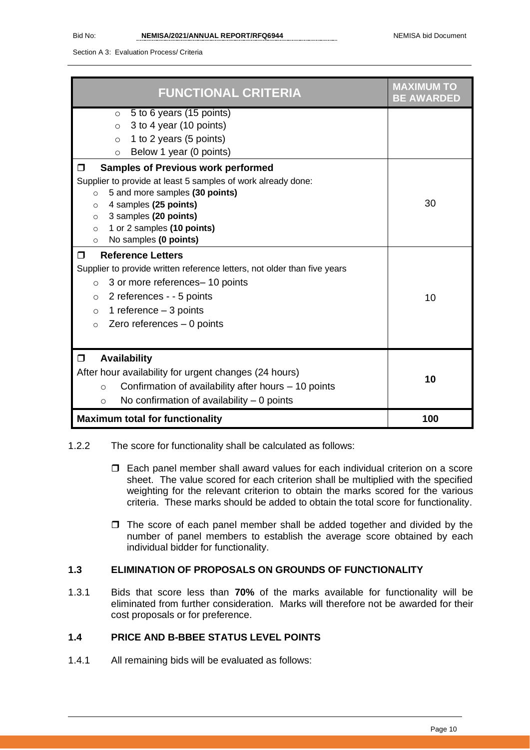Section A 3: Evaluation Process/ Criteria

| <b>FUNCTIONAL CRITERIA</b>                                               | <b>MAXIMUM TO</b><br><b>BE AWARDED</b> |
|--------------------------------------------------------------------------|----------------------------------------|
| 5 to 6 years (15 points)<br>$\circ$                                      |                                        |
| 3 to 4 year (10 points)<br>$\circ$                                       |                                        |
| 1 to 2 years (5 points)<br>$\circ$                                       |                                        |
| Below 1 year (0 points)<br>$\circ$                                       |                                        |
| <b>Samples of Previous work performed</b><br>$\Box$                      |                                        |
| Supplier to provide at least 5 samples of work already done:             |                                        |
| 5 and more samples (30 points)<br>$\circ$                                |                                        |
| 4 samples (25 points)<br>$\circ$                                         | 30                                     |
| 3 samples (20 points)<br>$\circ$                                         |                                        |
| 1 or 2 samples (10 points)<br>$\Omega$                                   |                                        |
| No samples (0 points)<br>$\circ$                                         |                                        |
| <b>Reference Letters</b><br>$\Box$                                       |                                        |
| Supplier to provide written reference letters, not older than five years |                                        |
| 3 or more references- 10 points<br>$\circ$                               |                                        |
| 2 references - - 5 points<br>$\circ$                                     | 10                                     |
| 1 reference $-3$ points<br>$\circ$                                       |                                        |
| Zero references $-0$ points<br>$\Omega$                                  |                                        |
|                                                                          |                                        |
| <b>Availability</b><br>$\Box$                                            |                                        |
| After hour availability for urgent changes (24 hours)                    |                                        |
| Confirmation of availability after hours – 10 points<br>$\circ$          | 10                                     |
| No confirmation of availability $-0$ points<br>$\circ$                   |                                        |
| <b>Maximum total for functionality</b>                                   | 100                                    |

- 1.2.2 The score for functionality shall be calculated as follows:
	- Each panel member shall award values for each individual criterion on a score sheet. The value scored for each criterion shall be multiplied with the specified weighting for the relevant criterion to obtain the marks scored for the various criteria. These marks should be added to obtain the total score for functionality.
	- $\Box$  The score of each panel member shall be added together and divided by the number of panel members to establish the average score obtained by each individual bidder for functionality.

### **1.3 ELIMINATION OF PROPOSALS ON GROUNDS OF FUNCTIONALITY**

1.3.1 Bids that score less than **70%** of the marks available for functionality will be eliminated from further consideration. Marks will therefore not be awarded for their cost proposals or for preference.

### **1.4 PRICE AND B-BBEE STATUS LEVEL POINTS**

1.4.1 All remaining bids will be evaluated as follows: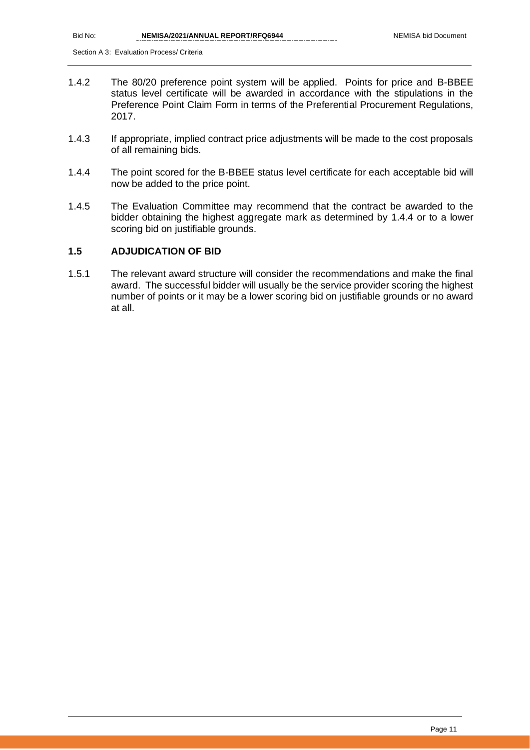- 1.4.2 The 80/20 preference point system will be applied. Points for price and B-BBEE status level certificate will be awarded in accordance with the stipulations in the Preference Point Claim Form in terms of the Preferential Procurement Regulations, 2017.
- 1.4.3 If appropriate, implied contract price adjustments will be made to the cost proposals of all remaining bids.
- 1.4.4 The point scored for the B-BBEE status level certificate for each acceptable bid will now be added to the price point.
- 1.4.5 The Evaluation Committee may recommend that the contract be awarded to the bidder obtaining the highest aggregate mark as determined by 1.4.4 or to a lower scoring bid on justifiable grounds.

### **1.5 ADJUDICATION OF BID**

1.5.1 The relevant award structure will consider the recommendations and make the final award. The successful bidder will usually be the service provider scoring the highest number of points or it may be a lower scoring bid on justifiable grounds or no award at all.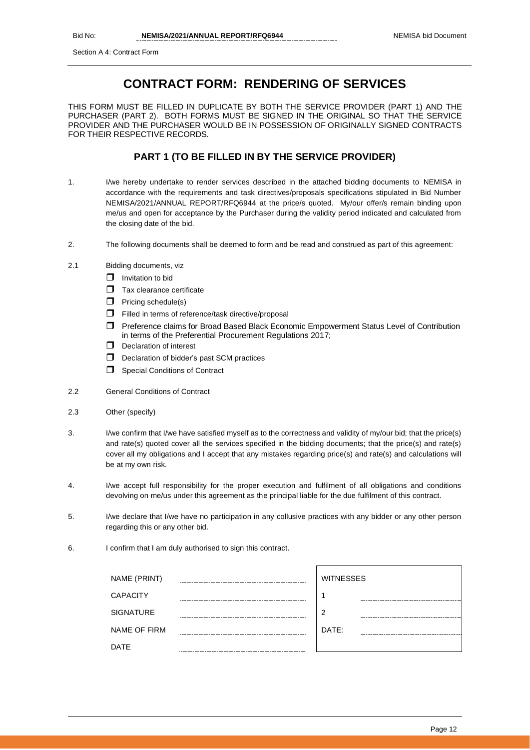# **CONTRACT FORM: RENDERING OF SERVICES**

THIS FORM MUST BE FILLED IN DUPLICATE BY BOTH THE SERVICE PROVIDER (PART 1) AND THE PURCHASER (PART 2). BOTH FORMS MUST BE SIGNED IN THE ORIGINAL SO THAT THE SERVICE PROVIDER AND THE PURCHASER WOULD BE IN POSSESSION OF ORIGINALLY SIGNED CONTRACTS FOR THEIR RESPECTIVE RECORDS.

### **PART 1 (TO BE FILLED IN BY THE SERVICE PROVIDER)**

- 1. I/we hereby undertake to render services described in the attached bidding documents to NEMISA in accordance with the requirements and task directives/proposals specifications stipulated in Bid Number NEMISA/2021/ANNUAL REPORT/RFQ6944 at the price/s quoted. My/our offer/s remain binding upon me/us and open for acceptance by the Purchaser during the validity period indicated and calculated from the closing date of the bid.
- 2. The following documents shall be deemed to form and be read and construed as part of this agreement:
- 2.1 Bidding documents, viz
	- $\Box$  Invitation to bid
	- $\Box$  Tax clearance certificate
	- $\Box$  Pricing schedule(s)
	- Filled in terms of reference/task directive/proposal
	- Preference claims for Broad Based Black Economic Empowerment Status Level of Contribution in terms of the Preferential Procurement Regulations 2017;
	- Declaration of interest
	- D Declaration of bidder's past SCM practices
	- **Special Conditions of Contract**
- 2.2 General Conditions of Contract
- 2.3 Other (specify)
- 3. I/we confirm that I/we have satisfied myself as to the correctness and validity of my/our bid; that the price(s) and rate(s) quoted cover all the services specified in the bidding documents; that the price(s) and rate(s) cover all my obligations and I accept that any mistakes regarding price(s) and rate(s) and calculations will be at my own risk.
- 4. I/we accept full responsibility for the proper execution and fulfilment of all obligations and conditions devolving on me/us under this agreement as the principal liable for the due fulfilment of this contract.
- 5. I/we declare that I/we have no participation in any collusive practices with any bidder or any other person regarding this or any other bid.
- 6. I confirm that I am duly authorised to sign this contract.

| NAME (PRINT)     |                 | <b>WITNESSES</b> |
|------------------|-----------------|------------------|
| <b>CAPACITY</b>  | --------------- |                  |
| <b>SIGNATURE</b> |                 | ာ                |
| NAME OF FIRM     | ----            | DATE:            |
| <b>DATE</b>      |                 |                  |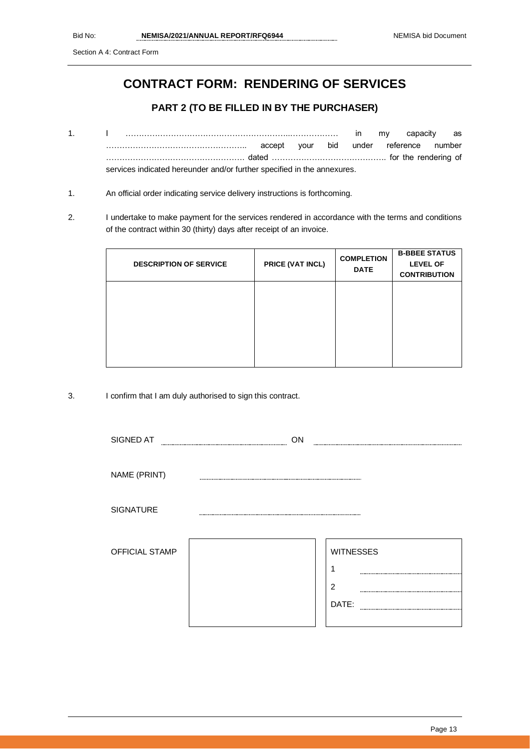Section A 4: Contract Form

# **CONTRACT FORM: RENDERING OF SERVICES**

### **PART 2 (TO BE FILLED IN BY THE PURCHASER)**

- 1. I ……………………………………………………..……………… in my capacity as …………………………………………….. accept your bid under reference number ……………………………………………. dated ……………………………………. for the rendering of services indicated hereunder and/or further specified in the annexures.
- 1. An official order indicating service delivery instructions is forthcoming.
- 2. I undertake to make payment for the services rendered in accordance with the terms and conditions of the contract within 30 (thirty) days after receipt of an invoice.

| <b>DESCRIPTION OF SERVICE</b> | PRICE (VAT INCL) | <b>COMPLETION</b><br><b>DATE</b> | <b>B-BBEE STATUS</b><br><b>LEVEL OF</b><br><b>CONTRIBUTION</b> |
|-------------------------------|------------------|----------------------------------|----------------------------------------------------------------|
|                               |                  |                                  |                                                                |
|                               |                  |                                  |                                                                |
|                               |                  |                                  |                                                                |

3. I confirm that I am duly authorised to sign this contract.

| SIGNED AT        | ON |                  |
|------------------|----|------------------|
| NAME (PRINT)     |    |                  |
| <b>SIGNATURE</b> |    |                  |
|                  |    |                  |
| OFFICIAL STAMP   |    | <b>WITNESSES</b> |
|                  |    |                  |
|                  |    | $\overline{2}$   |
|                  |    | DATE:            |
|                  |    |                  |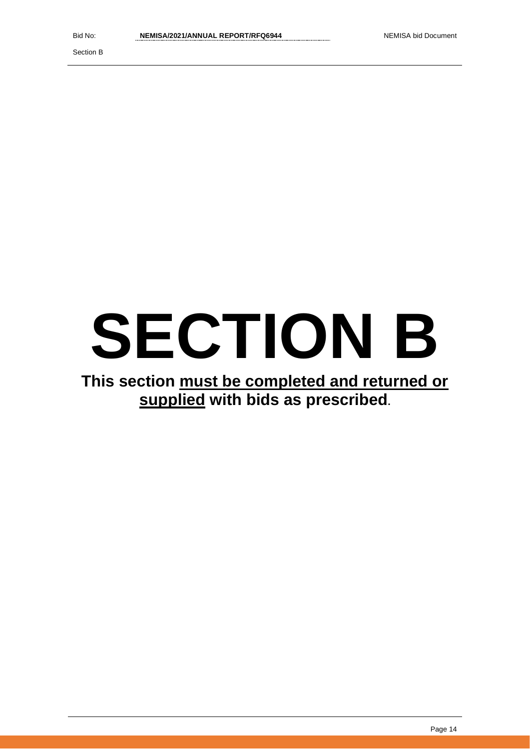Section B

# **SECTION B**

# **This section must be completed and returned or supplied with bids as prescribed.**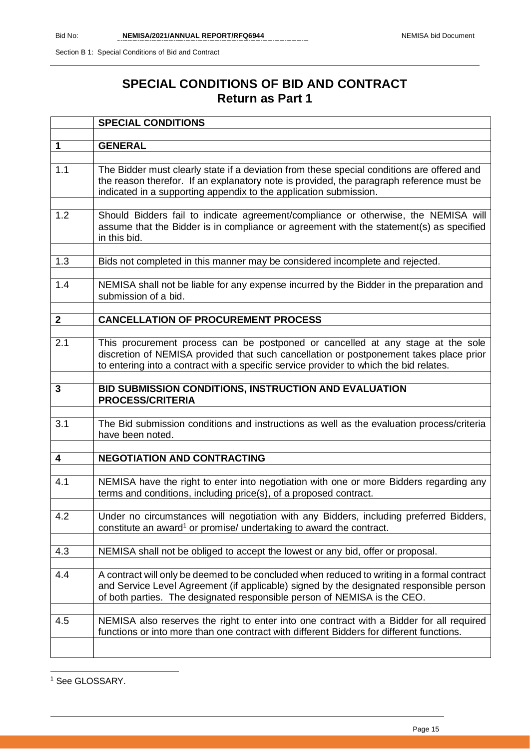# **SPECIAL CONDITIONS OF BID AND CONTRACT Return as Part 1**

|              | <b>SPECIAL CONDITIONS</b>                                                                                                                                                                                                                                           |
|--------------|---------------------------------------------------------------------------------------------------------------------------------------------------------------------------------------------------------------------------------------------------------------------|
|              |                                                                                                                                                                                                                                                                     |
| $\mathbf 1$  | <b>GENERAL</b>                                                                                                                                                                                                                                                      |
|              |                                                                                                                                                                                                                                                                     |
| 1.1          | The Bidder must clearly state if a deviation from these special conditions are offered and<br>the reason therefor. If an explanatory note is provided, the paragraph reference must be<br>indicated in a supporting appendix to the application submission.         |
|              |                                                                                                                                                                                                                                                                     |
| 1.2          | Should Bidders fail to indicate agreement/compliance or otherwise, the NEMISA will<br>assume that the Bidder is in compliance or agreement with the statement(s) as specified<br>in this bid.                                                                       |
|              |                                                                                                                                                                                                                                                                     |
| 1.3          | Bids not completed in this manner may be considered incomplete and rejected.                                                                                                                                                                                        |
| 1.4          | NEMISA shall not be liable for any expense incurred by the Bidder in the preparation and<br>submission of a bid.                                                                                                                                                    |
|              |                                                                                                                                                                                                                                                                     |
| $\mathbf{2}$ | <b>CANCELLATION OF PROCUREMENT PROCESS</b>                                                                                                                                                                                                                          |
| 2.1          | This procurement process can be postponed or cancelled at any stage at the sole<br>discretion of NEMISA provided that such cancellation or postponement takes place prior<br>to entering into a contract with a specific service provider to which the bid relates. |
| $\mathbf{3}$ |                                                                                                                                                                                                                                                                     |
|              | BID SUBMISSION CONDITIONS, INSTRUCTION AND EVALUATION<br><b>PROCESS/CRITERIA</b>                                                                                                                                                                                    |
|              |                                                                                                                                                                                                                                                                     |
| 3.1          | The Bid submission conditions and instructions as well as the evaluation process/criteria<br>have been noted.                                                                                                                                                       |
| 4            | <b>NEGOTIATION AND CONTRACTING</b>                                                                                                                                                                                                                                  |
|              |                                                                                                                                                                                                                                                                     |
| 4.1          | NEMISA have the right to enter into negotiation with one or more Bidders regarding any<br>terms and conditions, including price(s), of a proposed contract.                                                                                                         |
| 4.2          | Under no circumstances will negotiation with any Bidders, including preferred Bidders,<br>constitute an award <sup>1</sup> or promise/ undertaking to award the contract.                                                                                           |
|              |                                                                                                                                                                                                                                                                     |
| 4.3          | NEMISA shall not be obliged to accept the lowest or any bid, offer or proposal.                                                                                                                                                                                     |
| 4.4          | A contract will only be deemed to be concluded when reduced to writing in a formal contract<br>and Service Level Agreement (if applicable) signed by the designated responsible person<br>of both parties. The designated responsible person of NEMISA is the CEO.  |
| 4.5          | NEMISA also reserves the right to enter into one contract with a Bidder for all required<br>functions or into more than one contract with different Bidders for different functions.                                                                                |
|              |                                                                                                                                                                                                                                                                     |

<sup>1</sup> See GLOSSARY.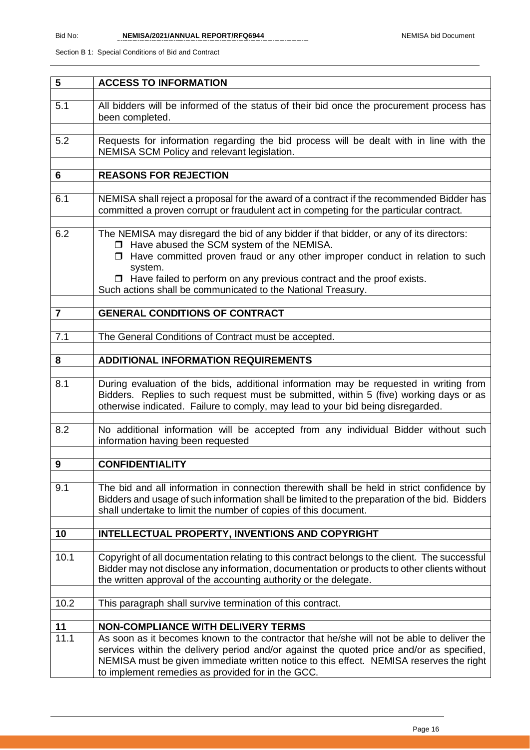| 5              | <b>ACCESS TO INFORMATION</b>                                                                                                                                                                                                                                                                                                                                                              |
|----------------|-------------------------------------------------------------------------------------------------------------------------------------------------------------------------------------------------------------------------------------------------------------------------------------------------------------------------------------------------------------------------------------------|
| 5.1            | All bidders will be informed of the status of their bid once the procurement process has<br>been completed.                                                                                                                                                                                                                                                                               |
| 5.2            | Requests for information regarding the bid process will be dealt with in line with the<br>NEMISA SCM Policy and relevant legislation.                                                                                                                                                                                                                                                     |
| 6              | <b>REASONS FOR REJECTION</b>                                                                                                                                                                                                                                                                                                                                                              |
|                |                                                                                                                                                                                                                                                                                                                                                                                           |
| 6.1            | NEMISA shall reject a proposal for the award of a contract if the recommended Bidder has<br>committed a proven corrupt or fraudulent act in competing for the particular contract.                                                                                                                                                                                                        |
| 6.2            | The NEMISA may disregard the bid of any bidder if that bidder, or any of its directors:<br>□ Have abused the SCM system of the NEMISA.<br>$\Box$ Have committed proven fraud or any other improper conduct in relation to such<br>system.<br>$\Box$ Have failed to perform on any previous contract and the proof exists.<br>Such actions shall be communicated to the National Treasury. |
| $\overline{7}$ | <b>GENERAL CONDITIONS OF CONTRACT</b>                                                                                                                                                                                                                                                                                                                                                     |
|                |                                                                                                                                                                                                                                                                                                                                                                                           |
| 7.1            | The General Conditions of Contract must be accepted.                                                                                                                                                                                                                                                                                                                                      |
|                |                                                                                                                                                                                                                                                                                                                                                                                           |
| 8              | <b>ADDITIONAL INFORMATION REQUIREMENTS</b>                                                                                                                                                                                                                                                                                                                                                |
| 8.1            | During evaluation of the bids, additional information may be requested in writing from<br>Bidders. Replies to such request must be submitted, within 5 (five) working days or as<br>otherwise indicated. Failure to comply, may lead to your bid being disregarded.                                                                                                                       |
| 8.2            | No additional information will be accepted from any individual Bidder without such<br>information having been requested                                                                                                                                                                                                                                                                   |
| 9              | <b>CONFIDENTIALITY</b>                                                                                                                                                                                                                                                                                                                                                                    |
|                |                                                                                                                                                                                                                                                                                                                                                                                           |
| 9.1            | The bid and all information in connection therewith shall be held in strict confidence by<br>Bidders and usage of such information shall be limited to the preparation of the bid. Bidders<br>shall undertake to limit the number of copies of this document.                                                                                                                             |
| 10             | INTELLECTUAL PROPERTY, INVENTIONS AND COPYRIGHT                                                                                                                                                                                                                                                                                                                                           |
| 10.1           | Copyright of all documentation relating to this contract belongs to the client. The successful<br>Bidder may not disclose any information, documentation or products to other clients without<br>the written approval of the accounting authority or the delegate.                                                                                                                        |
| 10.2           | This paragraph shall survive termination of this contract.                                                                                                                                                                                                                                                                                                                                |
|                |                                                                                                                                                                                                                                                                                                                                                                                           |
| 11             | <b>NON-COMPLIANCE WITH DELIVERY TERMS</b>                                                                                                                                                                                                                                                                                                                                                 |
| 11.1           | As soon as it becomes known to the contractor that he/she will not be able to deliver the<br>services within the delivery period and/or against the quoted price and/or as specified,<br>NEMISA must be given immediate written notice to this effect. NEMISA reserves the right<br>to implement remedies as provided for in the GCC.                                                     |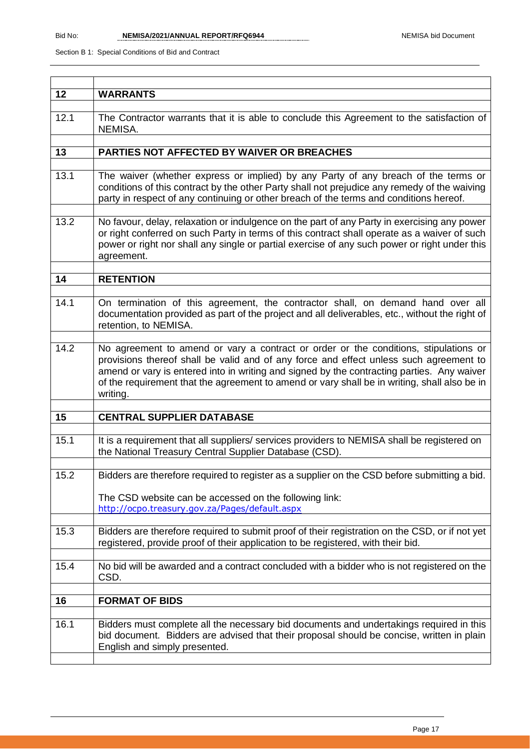| 12   | <b>WARRANTS</b>                                                                                                                                                                                                                                                                                                                                                                          |
|------|------------------------------------------------------------------------------------------------------------------------------------------------------------------------------------------------------------------------------------------------------------------------------------------------------------------------------------------------------------------------------------------|
|      |                                                                                                                                                                                                                                                                                                                                                                                          |
| 12.1 | The Contractor warrants that it is able to conclude this Agreement to the satisfaction of<br>NEMISA.                                                                                                                                                                                                                                                                                     |
|      |                                                                                                                                                                                                                                                                                                                                                                                          |
| 13   | PARTIES NOT AFFECTED BY WAIVER OR BREACHES                                                                                                                                                                                                                                                                                                                                               |
|      |                                                                                                                                                                                                                                                                                                                                                                                          |
| 13.1 | The waiver (whether express or implied) by any Party of any breach of the terms or<br>conditions of this contract by the other Party shall not prejudice any remedy of the waiving<br>party in respect of any continuing or other breach of the terms and conditions hereof.                                                                                                             |
| 13.2 | No favour, delay, relaxation or indulgence on the part of any Party in exercising any power                                                                                                                                                                                                                                                                                              |
|      | or right conferred on such Party in terms of this contract shall operate as a waiver of such<br>power or right nor shall any single or partial exercise of any such power or right under this<br>agreement.                                                                                                                                                                              |
|      |                                                                                                                                                                                                                                                                                                                                                                                          |
| 14   | <b>RETENTION</b>                                                                                                                                                                                                                                                                                                                                                                         |
|      |                                                                                                                                                                                                                                                                                                                                                                                          |
| 14.1 | On termination of this agreement, the contractor shall, on demand hand over all<br>documentation provided as part of the project and all deliverables, etc., without the right of<br>retention, to NEMISA.                                                                                                                                                                               |
|      |                                                                                                                                                                                                                                                                                                                                                                                          |
| 14.2 | No agreement to amend or vary a contract or order or the conditions, stipulations or<br>provisions thereof shall be valid and of any force and effect unless such agreement to<br>amend or vary is entered into in writing and signed by the contracting parties. Any waiver<br>of the requirement that the agreement to amend or vary shall be in writing, shall also be in<br>writing. |
|      |                                                                                                                                                                                                                                                                                                                                                                                          |
| 15   | <b>CENTRAL SUPPLIER DATABASE</b>                                                                                                                                                                                                                                                                                                                                                         |
| 15.1 | It is a requirement that all suppliers/ services providers to NEMISA shall be registered on<br>the National Treasury Central Supplier Database (CSD).                                                                                                                                                                                                                                    |
|      |                                                                                                                                                                                                                                                                                                                                                                                          |
| 15.2 | Bidders are therefore required to register as a supplier on the CSD before submitting a bid.                                                                                                                                                                                                                                                                                             |
|      | The CSD website can be accessed on the following link:<br>http://ocpo.treasury.gov.za/Pages/default.aspx                                                                                                                                                                                                                                                                                 |
|      |                                                                                                                                                                                                                                                                                                                                                                                          |
| 15.3 | Bidders are therefore required to submit proof of their registration on the CSD, or if not yet<br>registered, provide proof of their application to be registered, with their bid.                                                                                                                                                                                                       |
| 15.4 | No bid will be awarded and a contract concluded with a bidder who is not registered on the<br>CSD.                                                                                                                                                                                                                                                                                       |
|      |                                                                                                                                                                                                                                                                                                                                                                                          |
| 16   | <b>FORMAT OF BIDS</b>                                                                                                                                                                                                                                                                                                                                                                    |
|      |                                                                                                                                                                                                                                                                                                                                                                                          |
| 16.1 | Bidders must complete all the necessary bid documents and undertakings required in this<br>bid document. Bidders are advised that their proposal should be concise, written in plain<br>English and simply presented.                                                                                                                                                                    |
|      |                                                                                                                                                                                                                                                                                                                                                                                          |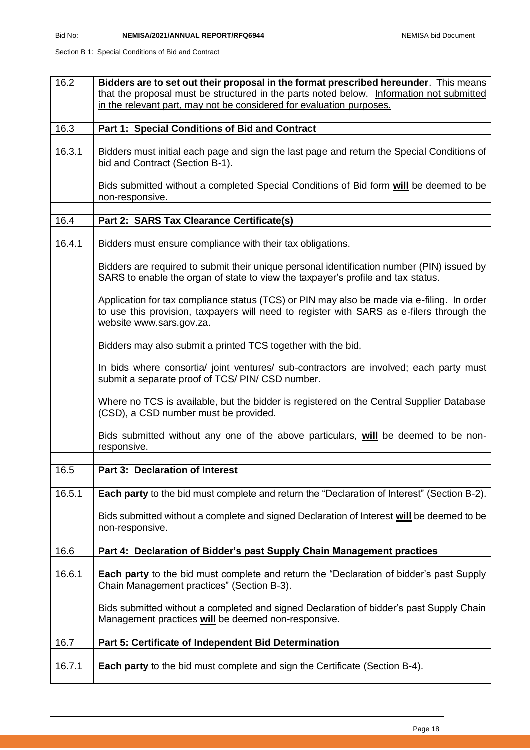| 16.2                | Bidders are to set out their proposal in the format prescribed hereunder. This means<br>that the proposal must be structured in the parts noted below. Information not submitted<br>in the relevant part, may not be considered for evaluation purposes. |
|---------------------|----------------------------------------------------------------------------------------------------------------------------------------------------------------------------------------------------------------------------------------------------------|
| 16.3                | Part 1: Special Conditions of Bid and Contract                                                                                                                                                                                                           |
| $\overline{16.3.1}$ | Bidders must initial each page and sign the last page and return the Special Conditions of<br>bid and Contract (Section B-1).                                                                                                                            |
|                     | Bids submitted without a completed Special Conditions of Bid form will be deemed to be<br>non-responsive.                                                                                                                                                |
| 16.4                | Part 2: SARS Tax Clearance Certificate(s)                                                                                                                                                                                                                |
| 16.4.1              | Bidders must ensure compliance with their tax obligations.                                                                                                                                                                                               |
|                     | Bidders are required to submit their unique personal identification number (PIN) issued by<br>SARS to enable the organ of state to view the taxpayer's profile and tax status.                                                                           |
|                     | Application for tax compliance status (TCS) or PIN may also be made via e-filing. In order<br>to use this provision, taxpayers will need to register with SARS as e-filers through the<br>website www.sars.gov.za.                                       |
|                     | Bidders may also submit a printed TCS together with the bid.                                                                                                                                                                                             |
|                     | In bids where consortia/ joint ventures/ sub-contractors are involved; each party must<br>submit a separate proof of TCS/ PIN/ CSD number.                                                                                                               |
|                     | Where no TCS is available, but the bidder is registered on the Central Supplier Database<br>(CSD), a CSD number must be provided.                                                                                                                        |
|                     | Bids submitted without any one of the above particulars, will be deemed to be non-<br>responsive.                                                                                                                                                        |
| 16.5                | Part 3: Declaration of Interest                                                                                                                                                                                                                          |
| 16.5.1              | Each party to the bid must complete and return the "Declaration of Interest" (Section B-2).                                                                                                                                                              |
|                     | Bids submitted without a complete and signed Declaration of Interest will be deemed to be<br>non-responsive.                                                                                                                                             |
| 16.6                | Part 4: Declaration of Bidder's past Supply Chain Management practices                                                                                                                                                                                   |
|                     |                                                                                                                                                                                                                                                          |
| 16.6.1              | Each party to the bid must complete and return the "Declaration of bidder's past Supply<br>Chain Management practices" (Section B-3).                                                                                                                    |
|                     | Bids submitted without a completed and signed Declaration of bidder's past Supply Chain<br>Management practices will be deemed non-responsive.                                                                                                           |
| 16.7                | Part 5: Certificate of Independent Bid Determination                                                                                                                                                                                                     |
| 16.7.1              | <b>Each party</b> to the bid must complete and sign the Certificate (Section B-4).                                                                                                                                                                       |
|                     |                                                                                                                                                                                                                                                          |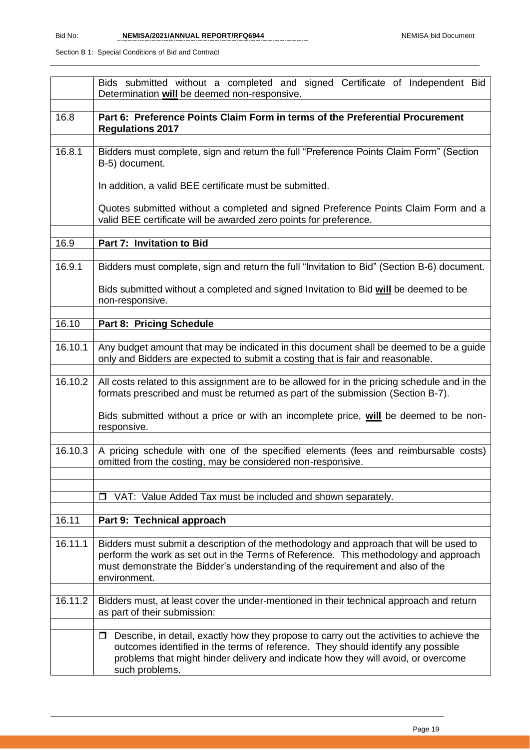|         | Bids submitted without a completed and signed Certificate of Independent Bid<br>Determination will be deemed non-responsive.                                                                                                                                                                  |
|---------|-----------------------------------------------------------------------------------------------------------------------------------------------------------------------------------------------------------------------------------------------------------------------------------------------|
| 16.8    | Part 6: Preference Points Claim Form in terms of the Preferential Procurement<br><b>Regulations 2017</b>                                                                                                                                                                                      |
| 16.8.1  | Bidders must complete, sign and return the full "Preference Points Claim Form" (Section<br>B-5) document.                                                                                                                                                                                     |
|         | In addition, a valid BEE certificate must be submitted.                                                                                                                                                                                                                                       |
|         | Quotes submitted without a completed and signed Preference Points Claim Form and a<br>valid BEE certificate will be awarded zero points for preference.                                                                                                                                       |
| 16.9    | Part 7: Invitation to Bid                                                                                                                                                                                                                                                                     |
| 16.9.1  | Bidders must complete, sign and return the full "Invitation to Bid" (Section B-6) document.                                                                                                                                                                                                   |
|         | Bids submitted without a completed and signed Invitation to Bid will be deemed to be<br>non-responsive.                                                                                                                                                                                       |
| 16.10   | <b>Part 8: Pricing Schedule</b>                                                                                                                                                                                                                                                               |
| 16.10.1 | Any budget amount that may be indicated in this document shall be deemed to be a guide<br>only and Bidders are expected to submit a costing that is fair and reasonable.                                                                                                                      |
| 16.10.2 | All costs related to this assignment are to be allowed for in the pricing schedule and in the<br>formats prescribed and must be returned as part of the submission (Section B-7).                                                                                                             |
|         | Bids submitted without a price or with an incomplete price, will be deemed to be non-<br>responsive.                                                                                                                                                                                          |
| 16.10.3 | A pricing schedule with one of the specified elements (fees and reimbursable costs)<br>omitted from the costing, may be considered non-responsive.                                                                                                                                            |
|         |                                                                                                                                                                                                                                                                                               |
|         | VAT: Value Added Tax must be included and shown separately.<br>$\Box$                                                                                                                                                                                                                         |
| 16.11   | Part 9: Technical approach                                                                                                                                                                                                                                                                    |
| 16.11.1 | Bidders must submit a description of the methodology and approach that will be used to<br>perform the work as set out in the Terms of Reference. This methodology and approach<br>must demonstrate the Bidder's understanding of the requirement and also of the<br>environment.              |
| 16.11.2 | Bidders must, at least cover the under-mentioned in their technical approach and return<br>as part of their submission:                                                                                                                                                                       |
|         | Describe, in detail, exactly how they propose to carry out the activities to achieve the<br>$\Box$<br>outcomes identified in the terms of reference. They should identify any possible<br>problems that might hinder delivery and indicate how they will avoid, or overcome<br>such problems. |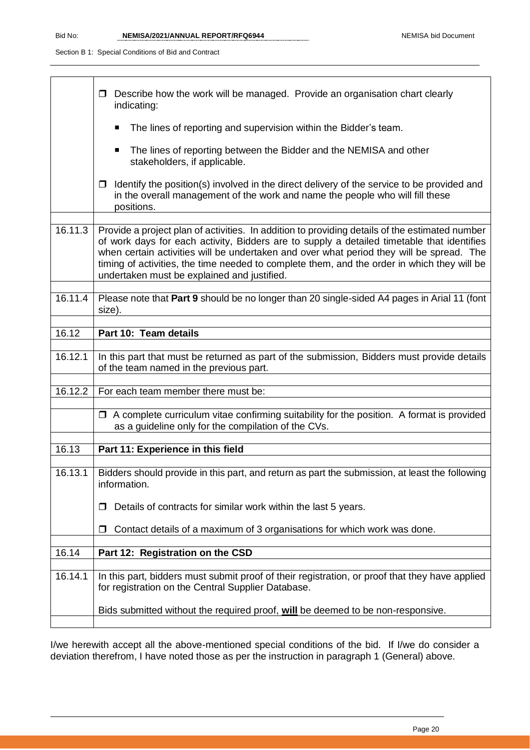|         | Describe how the work will be managed. Provide an organisation chart clearly<br>□<br>indicating:                                                                                                                                                                                                                                                                                                                                       |
|---------|----------------------------------------------------------------------------------------------------------------------------------------------------------------------------------------------------------------------------------------------------------------------------------------------------------------------------------------------------------------------------------------------------------------------------------------|
|         | The lines of reporting and supervision within the Bidder's team.                                                                                                                                                                                                                                                                                                                                                                       |
|         | The lines of reporting between the Bidder and the NEMISA and other<br>stakeholders, if applicable.                                                                                                                                                                                                                                                                                                                                     |
|         | Identify the position(s) involved in the direct delivery of the service to be provided and<br>□<br>in the overall management of the work and name the people who will fill these<br>positions.                                                                                                                                                                                                                                         |
|         |                                                                                                                                                                                                                                                                                                                                                                                                                                        |
| 16.11.3 | Provide a project plan of activities. In addition to providing details of the estimated number<br>of work days for each activity, Bidders are to supply a detailed timetable that identifies<br>when certain activities will be undertaken and over what period they will be spread. The<br>timing of activities, the time needed to complete them, and the order in which they will be<br>undertaken must be explained and justified. |
| 16.11.4 | Please note that Part 9 should be no longer than 20 single-sided A4 pages in Arial 11 (font<br>size).                                                                                                                                                                                                                                                                                                                                  |
| 16.12   | Part 10: Team details                                                                                                                                                                                                                                                                                                                                                                                                                  |
|         |                                                                                                                                                                                                                                                                                                                                                                                                                                        |
| 16.12.1 | In this part that must be returned as part of the submission, Bidders must provide details<br>of the team named in the previous part.                                                                                                                                                                                                                                                                                                  |
| 16.12.2 | For each team member there must be:                                                                                                                                                                                                                                                                                                                                                                                                    |
|         |                                                                                                                                                                                                                                                                                                                                                                                                                                        |
|         | $\Box$ A complete curriculum vitae confirming suitability for the position. A format is provided<br>as a guideline only for the compilation of the CVs.                                                                                                                                                                                                                                                                                |
| 16.13   | Part 11: Experience in this field                                                                                                                                                                                                                                                                                                                                                                                                      |
|         |                                                                                                                                                                                                                                                                                                                                                                                                                                        |
| 16.13.1 | Bidders should provide in this part, and return as part the submission, at least the following<br>information.                                                                                                                                                                                                                                                                                                                         |
|         | Details of contracts for similar work within the last 5 years.<br>$\Box$                                                                                                                                                                                                                                                                                                                                                               |
|         | Contact details of a maximum of 3 organisations for which work was done.<br>П                                                                                                                                                                                                                                                                                                                                                          |
| 16.14   | Part 12: Registration on the CSD                                                                                                                                                                                                                                                                                                                                                                                                       |
|         |                                                                                                                                                                                                                                                                                                                                                                                                                                        |
| 16.14.1 | In this part, bidders must submit proof of their registration, or proof that they have applied<br>for registration on the Central Supplier Database.                                                                                                                                                                                                                                                                                   |
|         | Bids submitted without the required proof, will be deemed to be non-responsive.                                                                                                                                                                                                                                                                                                                                                        |

I/we herewith accept all the above-mentioned special conditions of the bid. If I/we do consider a deviation therefrom, I have noted those as per the instruction in paragraph 1 (General) above.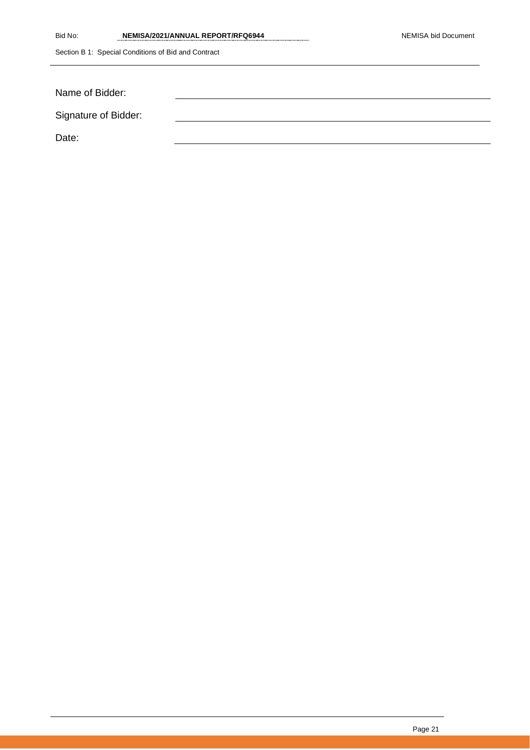| Bid No: | NEMISA/2021/ANNUAL REPORT/RFQ6944 |
|---------|-----------------------------------|
|         |                                   |

| Name of Bidder:      |  |
|----------------------|--|
| Signature of Bidder: |  |
| Date:                |  |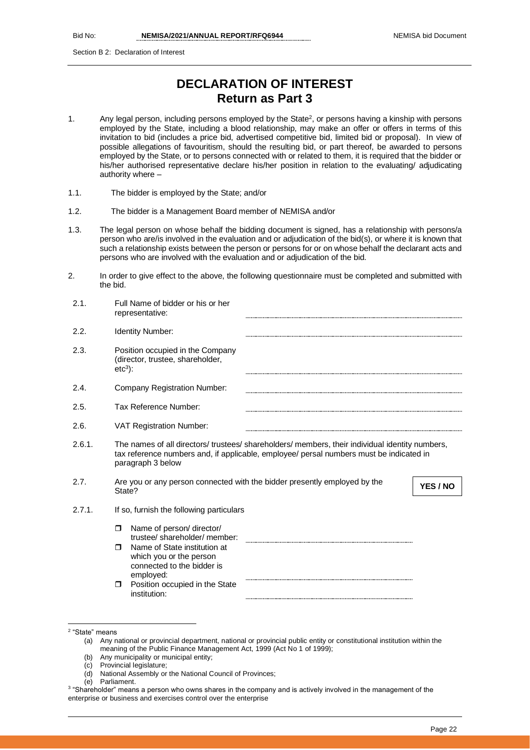Section B 2: Declaration of Interest

# **DECLARATION OF INTEREST Return as Part 3**

- 1. Any legal person, including persons employed by the State<sup>2</sup>, or persons having a kinship with persons employed by the State, including a blood relationship, may make an offer or offers in terms of this invitation to bid (includes a price bid, advertised competitive bid, limited bid or proposal). In view of possible allegations of favouritism, should the resulting bid, or part thereof, be awarded to persons employed by the State, or to persons connected with or related to them, it is required that the bidder or his/her authorised representative declare his/her position in relation to the evaluating/ adjudicating authority where –
- 1.1. The bidder is employed by the State; and/or
- 1.2. The bidder is a Management Board member of NEMISA and/or
- 1.3. The legal person on whose behalf the bidding document is signed, has a relationship with persons/a person who are/is involved in the evaluation and or adjudication of the bid(s), or where it is known that such a relationship exists between the person or persons for or on whose behalf the declarant acts and persons who are involved with the evaluation and or adjudication of the bid.
- 2. In order to give effect to the above, the following questionnaire must be completed and submitted with the bid.

| 2.1.   | Full Name of bidder or his or her<br>representative:                                                                                                                                                            |          |
|--------|-----------------------------------------------------------------------------------------------------------------------------------------------------------------------------------------------------------------|----------|
| 2.2.   | <b>Identity Number:</b>                                                                                                                                                                                         |          |
| 2.3.   | Position occupied in the Company<br>(director, trustee, shareholder,<br>$etc3$ :                                                                                                                                |          |
| 2.4.   | <b>Company Registration Number:</b>                                                                                                                                                                             |          |
| 2.5.   | Tax Reference Number:                                                                                                                                                                                           |          |
| 2.6.   | <b>VAT Registration Number:</b>                                                                                                                                                                                 |          |
| 2.6.1. | The names of all directors/ trustees/ shareholders/ members, their individual identity numbers,<br>tax reference numbers and, if applicable, employee/ persal numbers must be indicated in<br>paragraph 3 below |          |
| 2.7.   | Are you or any person connected with the bidder presently employed by the<br>State?                                                                                                                             | YES / NO |
| 2.7.1. | If so, furnish the following particulars                                                                                                                                                                        |          |
|        | Name of person/ director/<br>$\Box$<br>trustee/shareholder/member:                                                                                                                                              |          |
|        | Name of State institution at<br>⊓<br>which you or the person<br>connected to the bidder is<br>employed:                                                                                                         |          |
|        | Position occupied in the State<br>$\Box$<br>institution:                                                                                                                                                        |          |

- (b) Any municipality or municipal entity;
- (c) Provincial legislature;
- (d) National Assembly or the National Council of Provinces;
- (e) Parliament.

<sup>2</sup> "State" means

<sup>(</sup>a) Any national or provincial department, national or provincial public entity or constitutional institution within the meaning of the Public Finance Management Act, 1999 (Act No 1 of 1999);

<sup>3</sup> "Shareholder" means a person who owns shares in the company and is actively involved in the management of the enterprise or business and exercises control over the enterprise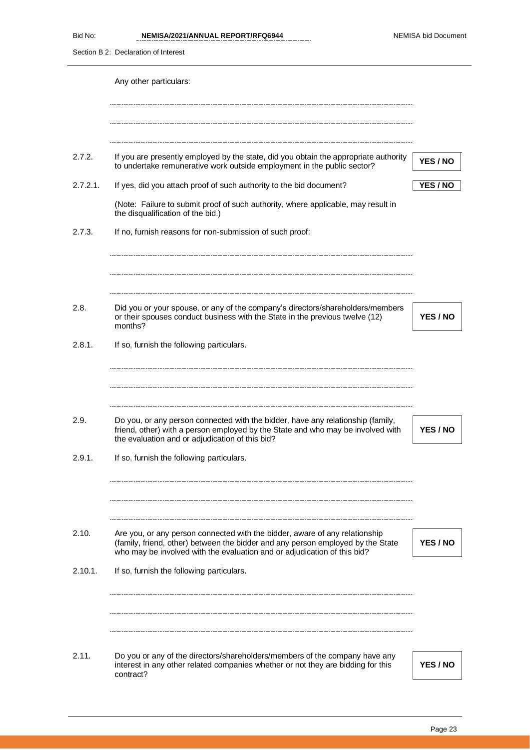Section B 2: Declaration of Interest

|             | Any other particulars:                                                                                                                                                                                                |          |
|-------------|-----------------------------------------------------------------------------------------------------------------------------------------------------------------------------------------------------------------------|----------|
|             |                                                                                                                                                                                                                       |          |
| 2.7.2.      | If you are presently employed by the state, did you obtain the appropriate authority<br>to undertake remunerative work outside employment in the public sector?                                                       | YES / NO |
| $2.7.2.1$ . | If yes, did you attach proof of such authority to the bid document?                                                                                                                                                   | YES / NO |
|             | (Note: Failure to submit proof of such authority, where applicable, may result in<br>the disqualification of the bid.)                                                                                                |          |
| 2.7.3.      | If no, furnish reasons for non-submission of such proof:                                                                                                                                                              |          |
| 2.8.        | Did you or your spouse, or any of the company's directors/shareholders/members<br>or their spouses conduct business with the State in the previous twelve (12)<br>months?                                             | YES / NO |
| 2.8.1.      | If so, furnish the following particulars.                                                                                                                                                                             |          |
| 2.9.        | Do you, or any person connected with the bidder, have any relationship (family,<br>friend, other) with a person employed by the State and who may be involved with<br>the evaluation and or adjudication of this bid? | YES / NO |
| 2.9.1.      | If so, furnish the following particulars.                                                                                                                                                                             |          |
| 2.10.       | Are you, or any person connected with the bidder, aware of any relationship<br>(family, friend, other) between the bidder and any person employed by the State                                                        | YES / NO |
| 2.10.1.     | who may be involved with the evaluation and or adjudication of this bid?<br>If so, furnish the following particulars.                                                                                                 |          |
|             |                                                                                                                                                                                                                       |          |
| 2.11.       | Do you or any of the directors/shareholders/members of the company have any<br>interest in any other related companies whether or not they are bidding for this<br>contract?                                          | YES / NO |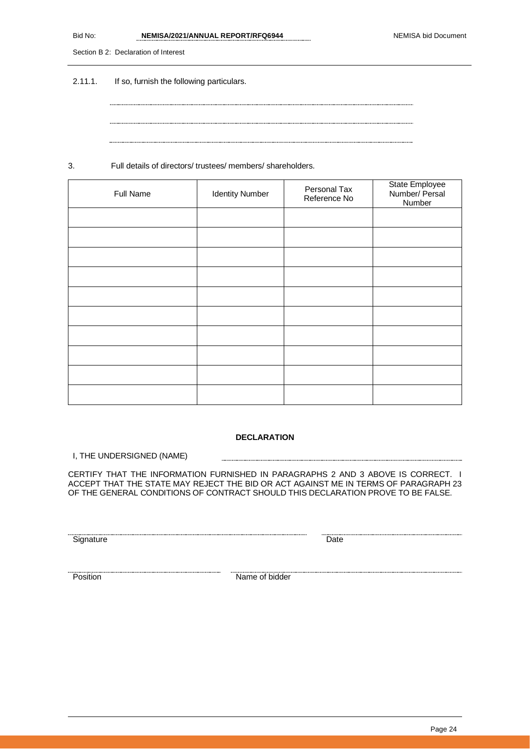| Bid No: | NEMISA/2021/ANNUAL REPORT/RFQ6944 | <b>NEMISA bid Document</b> |
|---------|-----------------------------------|----------------------------|
|         |                                   |                            |

Section B 2: Declaration of Interest

2.11.1. If so, furnish the following particulars.

3. Full details of directors/ trustees/ members/ shareholders.

| Full Name | <b>Identity Number</b> | Personal Tax<br>Reference No | State Employee<br>Number/ Persal<br>Number |
|-----------|------------------------|------------------------------|--------------------------------------------|
|           |                        |                              |                                            |
|           |                        |                              |                                            |
|           |                        |                              |                                            |
|           |                        |                              |                                            |
|           |                        |                              |                                            |
|           |                        |                              |                                            |
|           |                        |                              |                                            |
|           |                        |                              |                                            |
|           |                        |                              |                                            |
|           |                        |                              |                                            |

### **DECLARATION**

I, THE UNDERSIGNED (NAME)

CERTIFY THAT THE INFORMATION FURNISHED IN PARAGRAPHS 2 AND 3 ABOVE IS CORRECT. I ACCEPT THAT THE STATE MAY REJECT THE BID OR ACT AGAINST ME IN TERMS OF PARAGRAPH 23 OF THE GENERAL CONDITIONS OF CONTRACT SHOULD THIS DECLARATION PROVE TO BE FALSE.

Signature Date Date

Position Name of bidder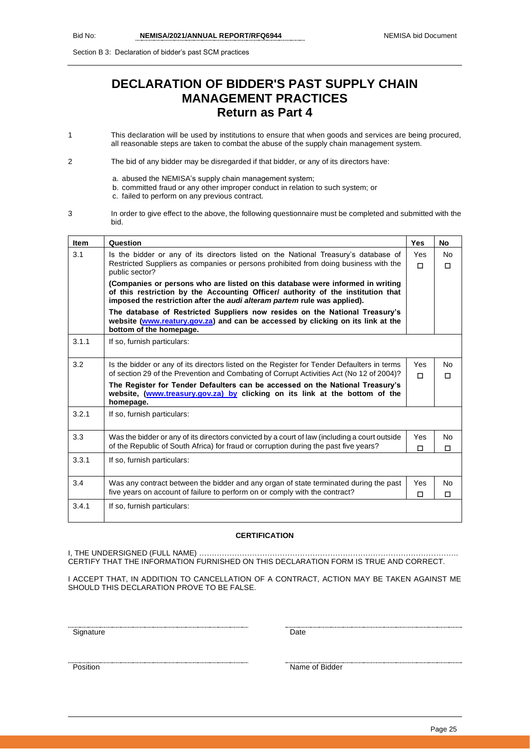Section B 3: Declaration of bidder's past SCM practices

# **DECLARATION OF BIDDER'S PAST SUPPLY CHAIN MANAGEMENT PRACTICES Return as Part 4**

1 This declaration will be used by institutions to ensure that when goods and services are being procured, all reasonable steps are taken to combat the abuse of the supply chain management system.

2 The bid of any bidder may be disregarded if that bidder, or any of its directors have:

- a. abused the NEMISA's supply chain management system;
- b. committed fraud or any other improper conduct in relation to such system; or
	- c. failed to perform on any previous contract.
- 3 In order to give effect to the above, the following questionnaire must be completed and submitted with the bid.

| <b>Item</b> | Question                                                                                                                                                                                                                                       | <b>Yes</b>    | <b>No</b>      |
|-------------|------------------------------------------------------------------------------------------------------------------------------------------------------------------------------------------------------------------------------------------------|---------------|----------------|
| 3.1         | Is the bidder or any of its directors listed on the National Treasury's database of<br>Restricted Suppliers as companies or persons prohibited from doing business with the                                                                    | Yes<br>$\Box$ | <b>No</b><br>П |
|             | public sector?                                                                                                                                                                                                                                 |               |                |
|             | (Companies or persons who are listed on this database were informed in writing<br>of this restriction by the Accounting Officer/ authority of the institution that<br>imposed the restriction after the audi alteram partem rule was applied). |               |                |
|             | The database of Restricted Suppliers now resides on the National Treasury's<br>website (www.reatury.gov.za) and can be accessed by clicking on its link at the<br>bottom of the homepage.                                                      |               |                |
| 3.1.1       | If so, furnish particulars:                                                                                                                                                                                                                    |               |                |
| 3.2         | Is the bidder or any of its directors listed on the Register for Tender Defaulters in terms                                                                                                                                                    | Yes           | No.            |
|             | of section 29 of the Prevention and Combating of Corrupt Activities Act (No 12 of 2004)?                                                                                                                                                       | П             | П              |
|             | The Register for Tender Defaulters can be accessed on the National Treasury's<br>website, (www.treasury.gov.za) by clicking on its link at the bottom of the<br>homepage.                                                                      |               |                |
| 3.2.1       | If so, furnish particulars:                                                                                                                                                                                                                    |               |                |
| 3.3         | Was the bidder or any of its directors convicted by a court of law (including a court outside                                                                                                                                                  | Yes           | No.            |
|             | of the Republic of South Africa) for fraud or corruption during the past five years?                                                                                                                                                           | □             | □              |
| 3.3.1       | If so, furnish particulars:                                                                                                                                                                                                                    |               |                |
| 3.4         | Was any contract between the bidder and any organ of state terminated during the past                                                                                                                                                          | Yes           | No.            |
|             | five years on account of failure to perform on or comply with the contract?                                                                                                                                                                    | □             | □              |
| 3.4.1       | If so, furnish particulars:                                                                                                                                                                                                                    |               |                |

### **CERTIFICATION**

I, THE UNDERSIGNED (FULL NAME) ……………… CERTIFY THAT THE INFORMATION FURNISHED ON THIS DECLARATION FORM IS TRUE AND CORRECT.

I ACCEPT THAT, IN ADDITION TO CANCELLATION OF A CONTRACT, ACTION MAY BE TAKEN AGAINST ME SHOULD THIS DECLARATION PROVE TO BE FALSE.

Signature Date

Position Name of Bidder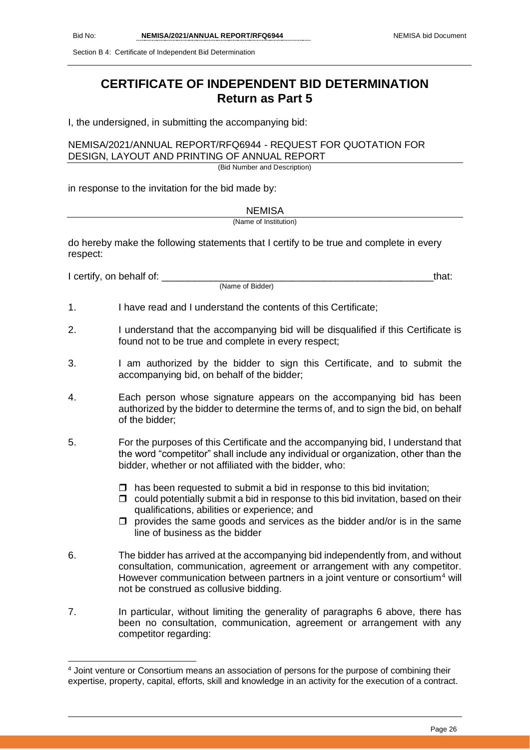Section B 4: Certificate of Independent Bid Determination

# **CERTIFICATE OF INDEPENDENT BID DETERMINATION Return as Part 5**

I, the undersigned, in submitting the accompanying bid:

### NEMISA/2021/ANNUAL REPORT/RFQ6944 - REQUEST FOR QUOTATION FOR DESIGN, LAYOUT AND PRINTING OF ANNUAL REPORT

(Bid Number and Description)

in response to the invitation for the bid made by:

NEMISA

(Name of Institution)

do hereby make the following statements that I certify to be true and complete in every respect:

I certify, on behalf of: \_\_\_\_\_\_\_\_\_\_\_\_\_\_\_\_\_\_\_\_\_\_\_\_\_\_\_\_\_\_\_\_\_\_\_\_\_\_\_\_\_\_\_\_\_\_\_\_\_\_that:

(Name of Bidder)

- 1. I have read and I understand the contents of this Certificate;
- 2. I understand that the accompanying bid will be disqualified if this Certificate is found not to be true and complete in every respect;
- 3. I am authorized by the bidder to sign this Certificate, and to submit the accompanying bid, on behalf of the bidder;
- 4. Each person whose signature appears on the accompanying bid has been authorized by the bidder to determine the terms of, and to sign the bid, on behalf of the bidder;
- 5. For the purposes of this Certificate and the accompanying bid, I understand that the word "competitor" shall include any individual or organization, other than the bidder, whether or not affiliated with the bidder, who:
	- $\Box$  has been requested to submit a bid in response to this bid invitation;
	- $\Box$  could potentially submit a bid in response to this bid invitation, based on their qualifications, abilities or experience; and
	- $\square$  provides the same goods and services as the bidder and/or is in the same line of business as the bidder
- 6. The bidder has arrived at the accompanying bid independently from, and without consultation, communication, agreement or arrangement with any competitor. However communication between partners in a joint venture or consortium<sup>4</sup> will not be construed as collusive bidding.
- 7. In particular, without limiting the generality of paragraphs 6 above, there has been no consultation, communication, agreement or arrangement with any competitor regarding:

<sup>4</sup> Joint venture or Consortium means an association of persons for the purpose of combining their expertise, property, capital, efforts, skill and knowledge in an activity for the execution of a contract.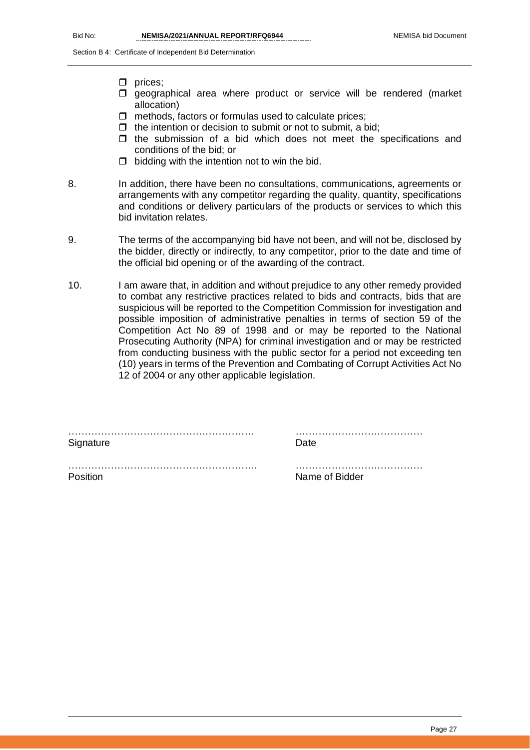Section B 4: Certificate of Independent Bid Determination

- $\square$  prices:
- $\square$  geographical area where product or service will be rendered (market allocation)
- $\Box$  methods, factors or formulas used to calculate prices;
- $\Box$  the intention or decision to submit or not to submit, a bid;
- $\Box$  the submission of a bid which does not meet the specifications and conditions of the bid; or
- $\Box$  bidding with the intention not to win the bid.
- 8. In addition, there have been no consultations, communications, agreements or arrangements with any competitor regarding the quality, quantity, specifications and conditions or delivery particulars of the products or services to which this bid invitation relates.
- 9. The terms of the accompanying bid have not been, and will not be, disclosed by the bidder, directly or indirectly, to any competitor, prior to the date and time of the official bid opening or of the awarding of the contract.
- 10. I am aware that, in addition and without prejudice to any other remedy provided to combat any restrictive practices related to bids and contracts, bids that are suspicious will be reported to the Competition Commission for investigation and possible imposition of administrative penalties in terms of section 59 of the Competition Act No 89 of 1998 and or may be reported to the National Prosecuting Authority (NPA) for criminal investigation and or may be restricted from conducting business with the public sector for a period not exceeding ten (10) years in terms of the Prevention and Combating of Corrupt Activities Act No 12 of 2004 or any other applicable legislation.

…………………………………………………. …………………………………

………………………………………………… ………………………………… Signature Date Date

Position **Name of Bidder** Name of Bidder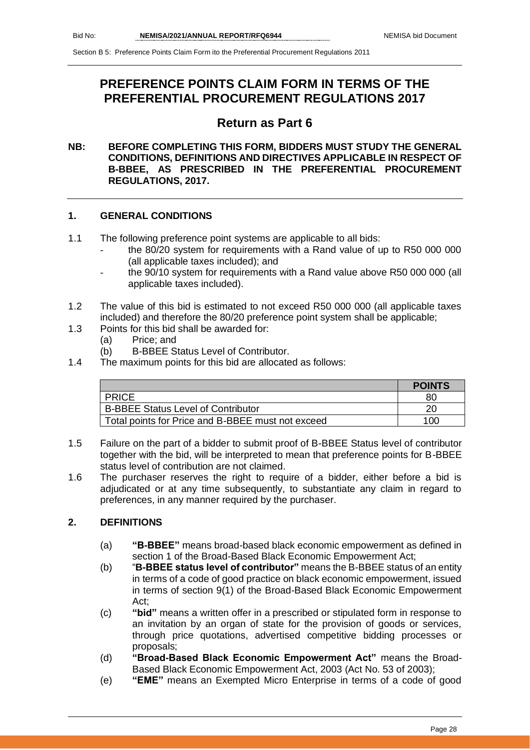# **PREFERENCE POINTS CLAIM FORM IN TERMS OF THE PREFERENTIAL PROCUREMENT REGULATIONS 2017**

# **Return as Part 6**

### **NB: BEFORE COMPLETING THIS FORM, BIDDERS MUST STUDY THE GENERAL CONDITIONS, DEFINITIONS AND DIRECTIVES APPLICABLE IN RESPECT OF B-BBEE, AS PRESCRIBED IN THE PREFERENTIAL PROCUREMENT REGULATIONS, 2017.**

### **1. GENERAL CONDITIONS**

- 1.1 The following preference point systems are applicable to all bids:
	- the 80/20 system for requirements with a Rand value of up to R50 000 000 (all applicable taxes included); and
	- the 90/10 system for requirements with a Rand value above R50 000 000 (all applicable taxes included).
- 1.2 The value of this bid is estimated to not exceed R50 000 000 (all applicable taxes included) and therefore the 80/20 preference point system shall be applicable;
- 1.3 Points for this bid shall be awarded for:
	- (a) Price; and
	- (b) B-BBEE Status Level of Contributor.
- 1.4 The maximum points for this bid are allocated as follows:

|                                                   | <b>POINTS</b> |
|---------------------------------------------------|---------------|
| PRICE                                             | 80            |
| <b>B-BBEE Status Level of Contributor</b>         | 20            |
| Total points for Price and B-BBEE must not exceed | 100           |

- 1.5 Failure on the part of a bidder to submit proof of B-BBEE Status level of contributor together with the bid, will be interpreted to mean that preference points for B-BBEE status level of contribution are not claimed.
- 1.6 The purchaser reserves the right to require of a bidder, either before a bid is adjudicated or at any time subsequently, to substantiate any claim in regard to preferences, in any manner required by the purchaser.

### **2. DEFINITIONS**

- (a) **"B-BBEE"** means broad-based black economic empowerment as defined in section 1 of the Broad-Based Black Economic Empowerment Act;
- (b) "**B-BBEE status level of contributor"** means the B-BBEE status of an entity in terms of a code of good practice on black economic empowerment, issued in terms of section 9(1) of the Broad-Based Black Economic Empowerment Act;
- (c) **"bid"** means a written offer in a prescribed or stipulated form in response to an invitation by an organ of state for the provision of goods or services, through price quotations, advertised competitive bidding processes or proposals;
- (d) **"Broad-Based Black Economic Empowerment Act"** means the Broad-Based Black Economic Empowerment Act, 2003 (Act No. 53 of 2003);
- (e) **"EME"** means an Exempted Micro Enterprise in terms of a code of good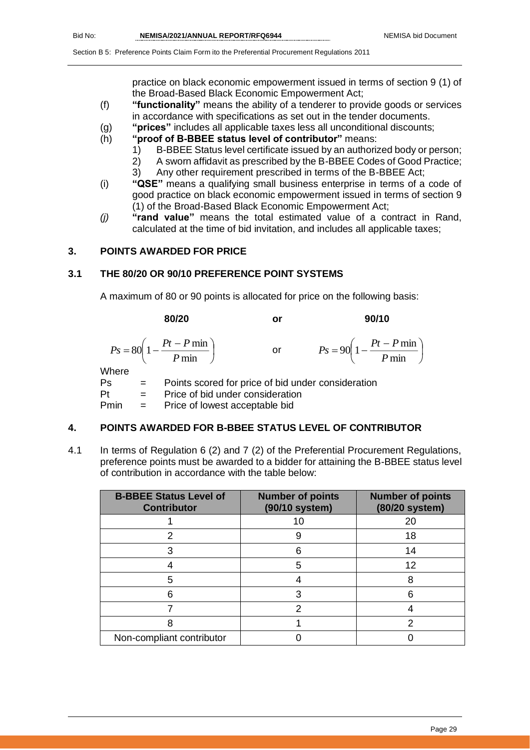practice on black economic empowerment issued in terms of section 9 (1) of the Broad-Based Black Economic Empowerment Act;

- (f) **"functionality"** means the ability of a tenderer to provide goods or services in accordance with specifications as set out in the tender documents.
- (g) **"prices"** includes all applicable taxes less all unconditional discounts;
- (h) **"proof of B-BBEE status level of contributor"** means:
	- 1) B-BBEE Status level certificate issued by an authorized body or person;
	- 2) A sworn affidavit as prescribed by the B-BBEE Codes of Good Practice;
	- 3) Any other requirement prescribed in terms of the B-BBEE Act;
- (i) **"QSE"** means a qualifying small business enterprise in terms of a code of good practice on black economic empowerment issued in terms of section 9 (1) of the Broad-Based Black Economic Empowerment Act;
- *(j)* **"rand value"** means the total estimated value of a contract in Rand, calculated at the time of bid invitation, and includes all applicable taxes;

### **3. POINTS AWARDED FOR PRICE**

### **3.1 THE 80/20 OR 90/10 PREFERENCE POINT SYSTEMS**

A maximum of 80 or 90 points is allocated for price on the following basis:

|             | 80/20                                                     | or                                                 | 90/10                                                     |
|-------------|-----------------------------------------------------------|----------------------------------------------------|-----------------------------------------------------------|
|             | $P_S = 80 \left( 1 - \frac{Pt - P \min P}{ \min} \right)$ | or                                                 | $P_s = 90 \left( 1 - \frac{Pt - P \min P}{ \min} \right)$ |
| Where<br>Ps |                                                           | Points scored for price of bid under consideration |                                                           |

Pt = Price of bid under consideration

Pmin = Price of lowest acceptable bid

### **4. POINTS AWARDED FOR B-BBEE STATUS LEVEL OF CONTRIBUTOR**

4.1 In terms of Regulation 6 (2) and 7 (2) of the Preferential Procurement Regulations, preference points must be awarded to a bidder for attaining the B-BBEE status level of contribution in accordance with the table below:

| <b>B-BBEE Status Level of</b><br><b>Contributor</b> | <b>Number of points</b><br>(90/10 system) | <b>Number of points</b><br>(80/20 system) |
|-----------------------------------------------------|-------------------------------------------|-------------------------------------------|
|                                                     | 10                                        | 20                                        |
|                                                     |                                           | 18                                        |
| 3                                                   | 6                                         | 14                                        |
|                                                     | 5                                         | 12                                        |
| 5                                                   |                                           | 8                                         |
| ิค                                                  |                                           |                                           |
|                                                     | າ                                         |                                           |
|                                                     |                                           |                                           |
| Non-compliant contributor                           |                                           |                                           |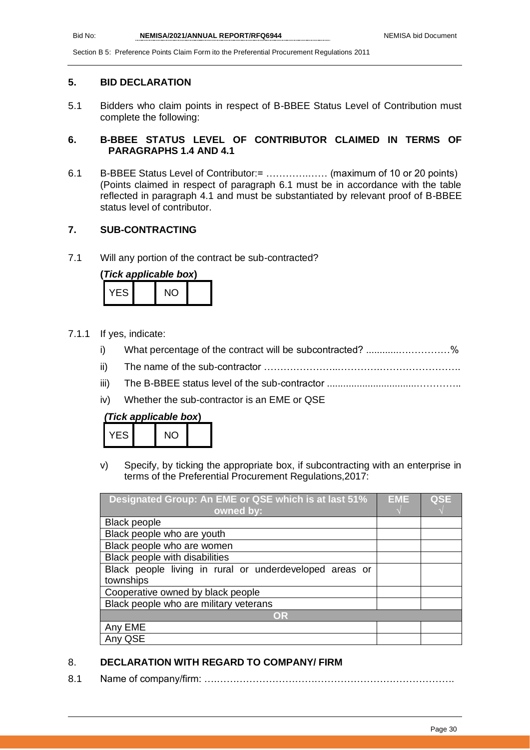### **5. BID DECLARATION**

5.1 Bidders who claim points in respect of B-BBEE Status Level of Contribution must complete the following:

### **6. B-BBEE STATUS LEVEL OF CONTRIBUTOR CLAIMED IN TERMS OF PARAGRAPHS 1.4 AND 4.1**

6.1 B-BBEE Status Level of Contributor:= ………….…… (maximum of 10 or 20 points) (Points claimed in respect of paragraph 6.1 must be in accordance with the table reflected in paragraph 4.1 and must be substantiated by relevant proof of B-BBEE status level of contributor.

### **7. SUB-CONTRACTING**

7.1 Will any portion of the contract be sub-contracted?

|       | (Tick applicable box) |  |
|-------|-----------------------|--|
| YFS I | NO.                   |  |

- 7.1.1 If yes, indicate:
	- i) What percentage of the contract will be subcontracted? ..........................%
	- ii) The name of the sub-contractor …………………..………….…………………….
	- iii) The B-BBEE status level of the sub-contractor .................................…………..
	- iv) Whether the sub-contractor is an EME or QSE

### *(Tick applicable box***)**

| ΞS | $\cdot$ $\sim$ |  |
|----|----------------|--|
|    |                |  |

v) Specify, by ticking the appropriate box, if subcontracting with an enterprise in terms of the Preferential Procurement Regulations,2017:

| Designated Group: An EME or QSE which is at last 51%    | <b>EME</b> | <b>QSE</b> |
|---------------------------------------------------------|------------|------------|
| owned by:                                               |            |            |
| <b>Black people</b>                                     |            |            |
| Black people who are youth                              |            |            |
| Black people who are women                              |            |            |
| Black people with disabilities                          |            |            |
| Black people living in rural or underdeveloped areas or |            |            |
| townships                                               |            |            |
| Cooperative owned by black people                       |            |            |
| Black people who are military veterans                  |            |            |
| OR                                                      |            |            |
| Any EME                                                 |            |            |
| Any QSE                                                 |            |            |

### 8. **DECLARATION WITH REGARD TO COMPANY/ FIRM**

8.1 Name of company/firm: ….……………………………………………………………….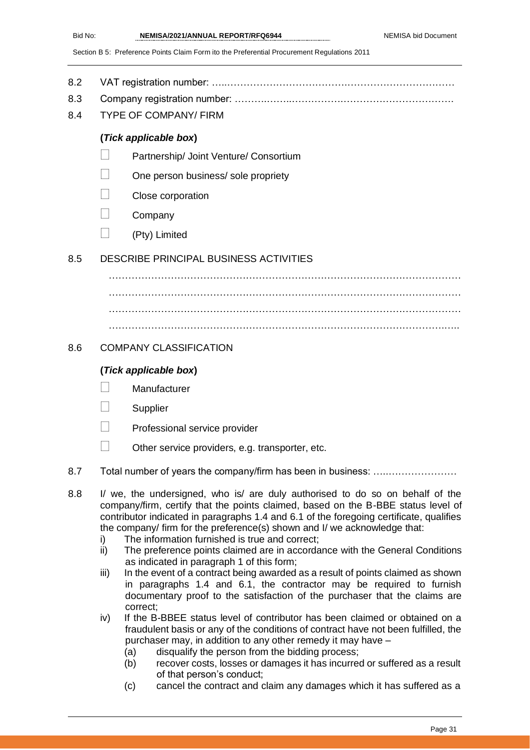- 8.2 VAT registration number: …..……………………………….……………………………
- 8.3 Company registration number: ……….……..…………….…………………………….
- 8.4 TYPE OF COMPANY/ FIRM

### **(***Tick applicable box***)**

- Partnership/ Joint Venture/ Consortium
- One person business/ sole propriety
- Close corporation
- Company
- (Pty) Limited

### 8.5 DESCRIBE PRINCIPAL BUSINESS ACTIVITIES

……………………………………………………………………………………………… ……………………………………………………………………………………………… ……………………………………………………………………………………………… ………………………………………………………………………………………….…..

### 8.6 COMPANY CLASSIFICATION

### **(***Tick applicable box***)**

- Manufacturer
- **Supplier**
- Professional service provider
- $\Box$  Other service providers, e.g. transporter, etc.
- 8.7 Total number of years the company/firm has been in business: …..…………………
- 8.8 I/ we, the undersigned, who is/ are duly authorised to do so on behalf of the company/firm, certify that the points claimed, based on the B-BBE status level of contributor indicated in paragraphs 1.4 and 6.1 of the foregoing certificate, qualifies the company/ firm for the preference(s) shown and I/ we acknowledge that:
	- i) The information furnished is true and correct;
	- ii) The preference points claimed are in accordance with the General Conditions as indicated in paragraph 1 of this form;
	- iii) In the event of a contract being awarded as a result of points claimed as shown in paragraphs 1.4 and 6.1, the contractor may be required to furnish documentary proof to the satisfaction of the purchaser that the claims are correct;
	- iv) If the B-BBEE status level of contributor has been claimed or obtained on a fraudulent basis or any of the conditions of contract have not been fulfilled, the purchaser may, in addition to any other remedy it may have –
		- (a) disqualify the person from the bidding process;
		- (b) recover costs, losses or damages it has incurred or suffered as a result of that person's conduct;
		- (c) cancel the contract and claim any damages which it has suffered as a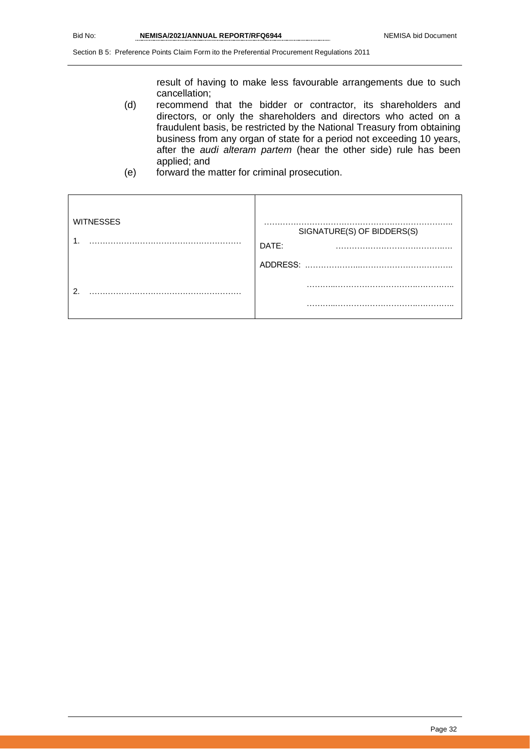result of having to make less favourable arrangements due to such cancellation;

- (d) recommend that the bidder or contractor, its shareholders and directors, or only the shareholders and directors who acted on a fraudulent basis, be restricted by the National Treasury from obtaining business from any organ of state for a period not exceeding 10 years, after the *audi alteram partem* (hear the other side) rule has been applied; and
- (e) forward the matter for criminal prosecution.

| <b>WITNESSES</b> | SIGNATURE(S) OF BIDDERS(S)<br>DATE:<br>. |
|------------------|------------------------------------------|
|                  | ADDRESS:                                 |
| റ                |                                          |
|                  |                                          |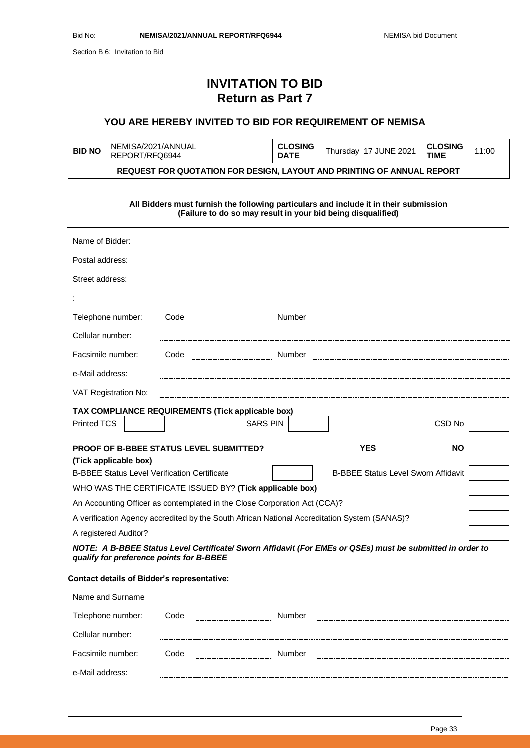Section B 6: Invitation to Bid

# **INVITATION TO BID Return as Part 7**

### **YOU ARE HEREBY INVITED TO BID FOR REQUIREMENT OF NEMISA**

| NEMISA/2021/ANNUAL<br><b>BID NO</b><br>REPORT/RFQ6944                                                                                                 |                                                                                                   | <b>CLOSING</b><br><b>DATE</b>                                                                                                                         | Thursday 17 JUNE 2021 | <b>CLOSING</b><br><b>TIME</b> | 11:00     |  |
|-------------------------------------------------------------------------------------------------------------------------------------------------------|---------------------------------------------------------------------------------------------------|-------------------------------------------------------------------------------------------------------------------------------------------------------|-----------------------|-------------------------------|-----------|--|
|                                                                                                                                                       |                                                                                                   | REQUEST FOR QUOTATION FOR DESIGN, LAYOUT AND PRINTING OF ANNUAL REPORT                                                                                |                       |                               |           |  |
|                                                                                                                                                       |                                                                                                   |                                                                                                                                                       |                       |                               |           |  |
|                                                                                                                                                       |                                                                                                   | All Bidders must furnish the following particulars and include it in their submission<br>(Failure to do so may result in your bid being disqualified) |                       |                               |           |  |
| Name of Bidder:                                                                                                                                       |                                                                                                   |                                                                                                                                                       |                       |                               |           |  |
| Postal address:                                                                                                                                       |                                                                                                   |                                                                                                                                                       |                       |                               |           |  |
| Street address:                                                                                                                                       |                                                                                                   |                                                                                                                                                       |                       |                               |           |  |
|                                                                                                                                                       |                                                                                                   |                                                                                                                                                       |                       |                               |           |  |
| Telephone number:                                                                                                                                     |                                                                                                   | Code                                                                                                                                                  |                       |                               |           |  |
| Cellular number:                                                                                                                                      |                                                                                                   |                                                                                                                                                       |                       |                               |           |  |
| Facsimile number:                                                                                                                                     |                                                                                                   | Code                                                                                                                                                  |                       |                               |           |  |
| e-Mail address:                                                                                                                                       |                                                                                                   |                                                                                                                                                       |                       |                               |           |  |
| VAT Registration No:                                                                                                                                  |                                                                                                   |                                                                                                                                                       |                       |                               |           |  |
|                                                                                                                                                       |                                                                                                   | TAX COMPLIANCE REQUIREMENTS (Tick applicable box)                                                                                                     |                       |                               |           |  |
| <b>Printed TCS</b>                                                                                                                                    |                                                                                                   | <b>SARS PIN</b>                                                                                                                                       |                       |                               | CSD No    |  |
| (Tick applicable box)                                                                                                                                 |                                                                                                   | PROOF OF B-BBEE STATUS LEVEL SUBMITTED?                                                                                                               |                       | <b>YES</b>                    | <b>NO</b> |  |
|                                                                                                                                                       | <b>B-BBEE Status Level Verification Certificate</b><br><b>B-BBEE Status Level Sworn Affidavit</b> |                                                                                                                                                       |                       |                               |           |  |
|                                                                                                                                                       |                                                                                                   | WHO WAS THE CERTIFICATE ISSUED BY? (Tick applicable box)                                                                                              |                       |                               |           |  |
| An Accounting Officer as contemplated in the Close Corporation Act (CCA)?                                                                             |                                                                                                   |                                                                                                                                                       |                       |                               |           |  |
|                                                                                                                                                       |                                                                                                   | A verification Agency accredited by the South African National Accreditation System (SANAS)?                                                          |                       |                               |           |  |
| A registered Auditor?                                                                                                                                 |                                                                                                   |                                                                                                                                                       |                       |                               |           |  |
| NOTE: A B-BBEE Status Level Certificate/ Sworn Affidavit (For EMEs or QSEs) must be submitted in order to<br>qualify for preference points for B-BBEE |                                                                                                   |                                                                                                                                                       |                       |                               |           |  |

### **Contact details of Bidder's representative:**

| Name and Surname  |      |                                       |  |
|-------------------|------|---------------------------------------|--|
| Telephone number: | Code | Number                                |  |
| Cellular number:  |      |                                       |  |
| Facsimile number: | Code | Number<br>--------------------------- |  |
| e-Mail address:   |      |                                       |  |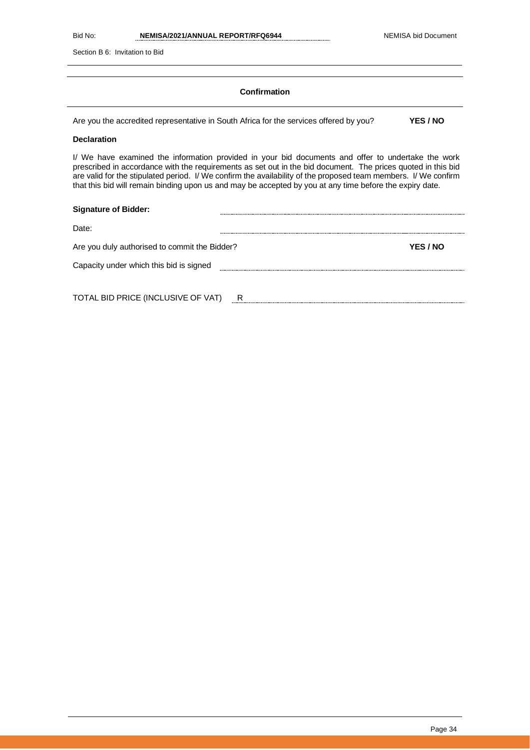Section B 6: Invitation to Bid

### **Confirmation**

Are you the accredited representative in South Africa for the services offered by you? **YES / NO**

### **Declaration**

I/ We have examined the information provided in your bid documents and offer to undertake the work prescribed in accordance with the requirements as set out in the bid document. The prices quoted in this bid are valid for the stipulated period. I/ We confirm the availability of the proposed team members. I/ We confirm that this bid will remain binding upon us and may be accepted by you at any time before the expiry date.

| <b>Signature of Bidder:</b>                   |   |          |
|-----------------------------------------------|---|----------|
| Date:                                         |   |          |
| Are you duly authorised to commit the Bidder? |   | YES / NO |
| Capacity under which this bid is signed       |   |          |
|                                               |   |          |
| TOTAL BID PRICE (INCLUSIVE OF VAT)            | R |          |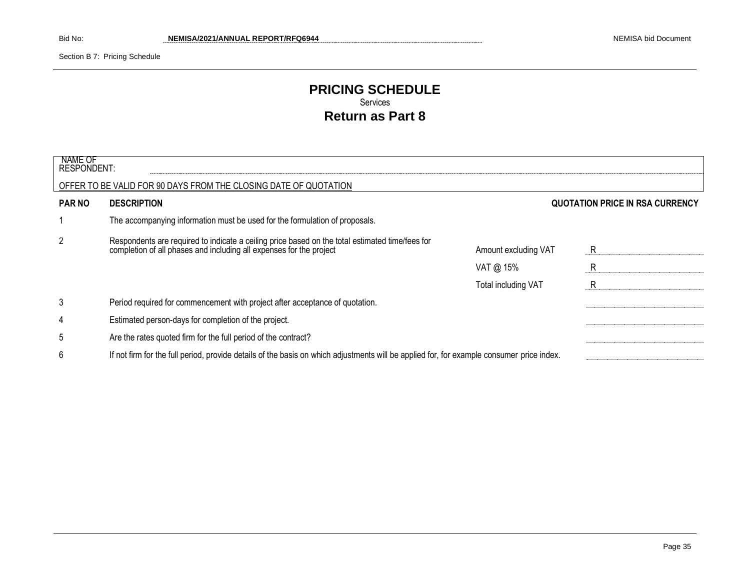Section B 7: Pricing Schedule

### **PRICING SCHEDULE** Services **Return as Part 8**

| NAME OF<br><b>RESPONDENT:</b> |                                                                                                                                                                     |                            |                                 |
|-------------------------------|---------------------------------------------------------------------------------------------------------------------------------------------------------------------|----------------------------|---------------------------------|
|                               | OFFER TO BE VALID FOR 90 DAYS FROM THE CLOSING DATE OF QUOTATION                                                                                                    |                            |                                 |
| <b>PAR NO</b>                 | <b>DESCRIPTION</b>                                                                                                                                                  |                            | QUOTATION PRICE IN RSA CURRENCY |
|                               | The accompanying information must be used for the formulation of proposals.                                                                                         |                            |                                 |
| 2                             | Respondents are required to indicate a ceiling price based on the total estimated time/fees for completion of all phases and including all expenses for the project | Amount excluding VAT       | R.                              |
|                               |                                                                                                                                                                     | VAT @ 15%                  | R                               |
|                               |                                                                                                                                                                     | <b>Total including VAT</b> | R                               |
| 3                             | Period required for commencement with project after acceptance of quotation.                                                                                        |                            |                                 |
| 4                             | Estimated person-days for completion of the project.                                                                                                                |                            |                                 |
| 5                             | Are the rates quoted firm for the full period of the contract?                                                                                                      |                            |                                 |
| 6                             | If not firm for the full period, provide details of the basis on which adjustments will be applied for, for example consumer price index.                           |                            |                                 |